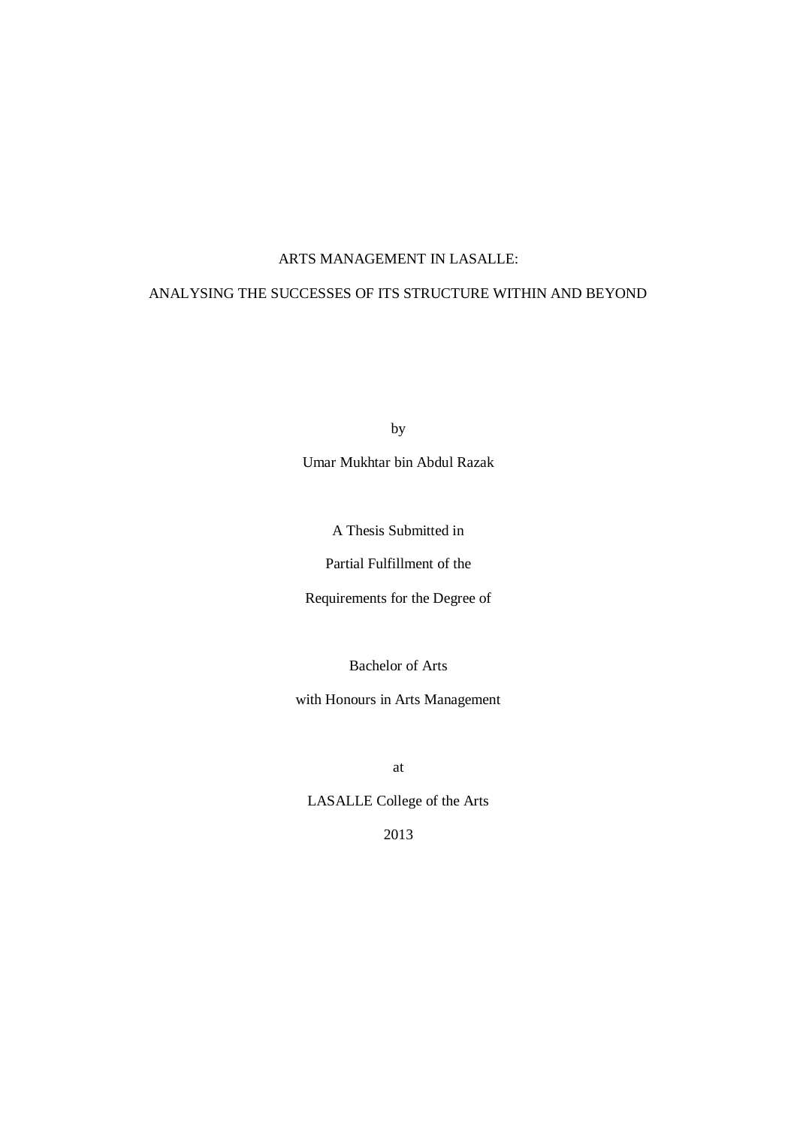# ARTS MANAGEMENT IN LASALLE:

# ANALYSING THE SUCCESSES OF ITS STRUCTURE WITHIN AND BEYOND

by

Umar Mukhtar bin Abdul Razak

A Thesis Submitted in

Partial Fulfillment of the

Requirements for the Degree of

Bachelor of Arts

with Honours in Arts Management

at

LASALLE College of the Arts

2013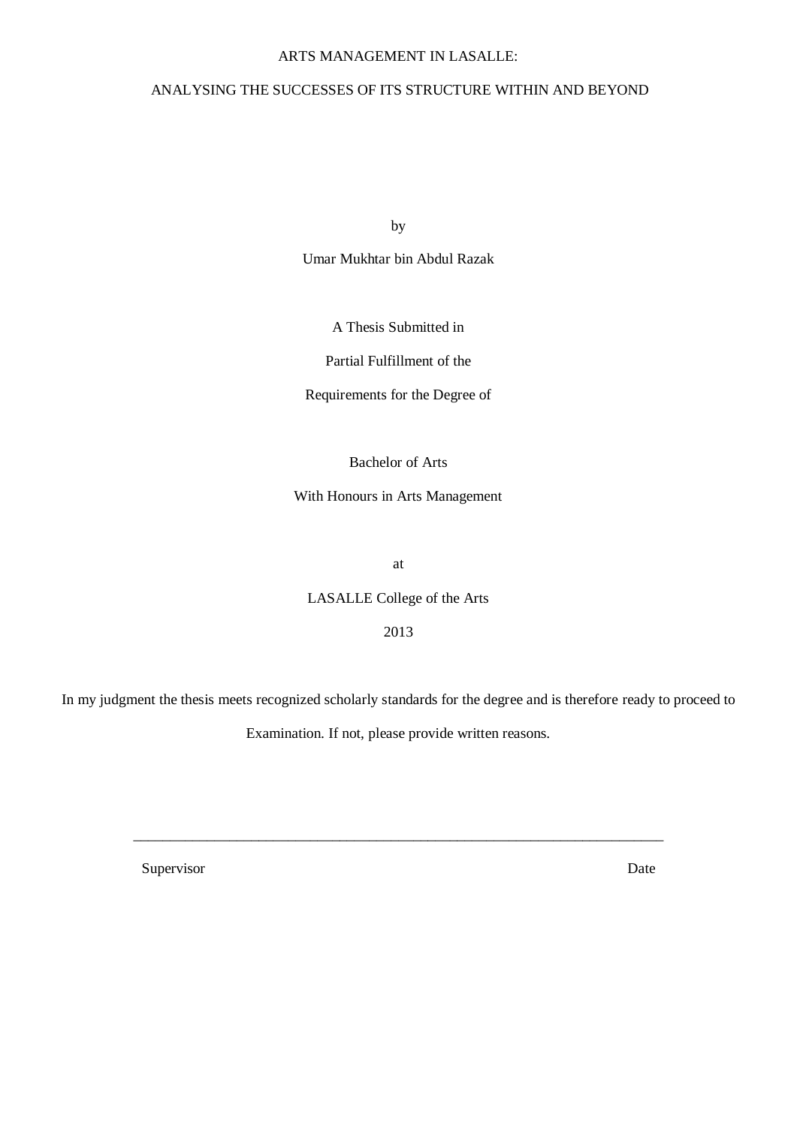## ARTS MANAGEMENT IN LASALLE:

# ANALYSING THE SUCCESSES OF ITS STRUCTURE WITHIN AND BEYOND

by

Umar Mukhtar bin Abdul Razak

A Thesis Submitted in

Partial Fulfillment of the

Requirements for the Degree of

Bachelor of Arts

With Honours in Arts Management

at

LASALLE College of the Arts

2013

In my judgment the thesis meets recognized scholarly standards for the degree and is therefore ready to proceed to

Examination. If not, please provide written reasons.

\_\_\_\_\_\_\_\_\_\_\_\_\_\_\_\_\_\_\_\_\_\_\_\_\_\_\_\_\_\_\_\_\_\_\_\_\_\_\_\_\_\_\_\_\_\_\_\_\_\_\_\_\_\_\_\_\_\_\_\_\_\_\_\_\_\_\_\_\_\_\_\_

Supervisor Date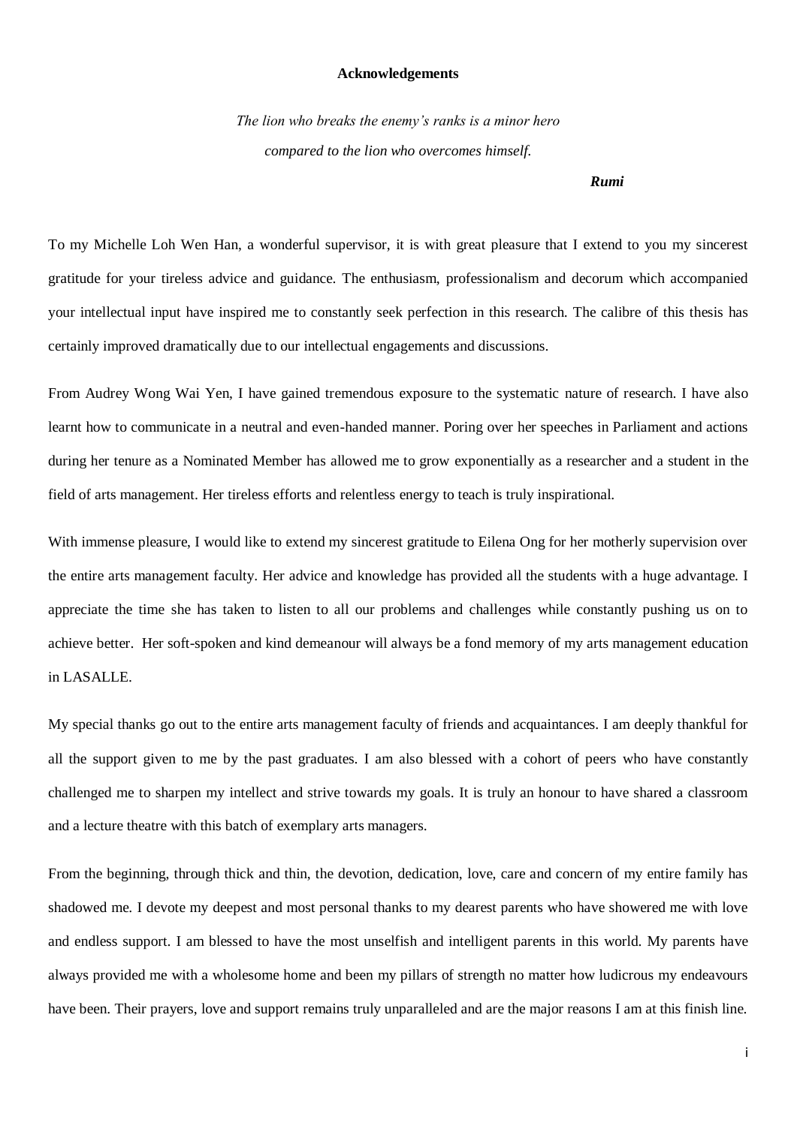### **Acknowledgements**

*The lion who breaks the enemy's ranks is a minor hero compared to the lion who overcomes himself.*

#### *Rumi*

To my Michelle Loh Wen Han, a wonderful supervisor, it is with great pleasure that I extend to you my sincerest gratitude for your tireless advice and guidance. The enthusiasm, professionalism and decorum which accompanied your intellectual input have inspired me to constantly seek perfection in this research. The calibre of this thesis has certainly improved dramatically due to our intellectual engagements and discussions.

From Audrey Wong Wai Yen, I have gained tremendous exposure to the systematic nature of research. I have also learnt how to communicate in a neutral and even-handed manner. Poring over her speeches in Parliament and actions during her tenure as a Nominated Member has allowed me to grow exponentially as a researcher and a student in the field of arts management. Her tireless efforts and relentless energy to teach is truly inspirational.

With immense pleasure, I would like to extend my sincerest gratitude to Eilena Ong for her motherly supervision over the entire arts management faculty. Her advice and knowledge has provided all the students with a huge advantage. I appreciate the time she has taken to listen to all our problems and challenges while constantly pushing us on to achieve better. Her soft-spoken and kind demeanour will always be a fond memory of my arts management education in LASALLE.

My special thanks go out to the entire arts management faculty of friends and acquaintances. I am deeply thankful for all the support given to me by the past graduates. I am also blessed with a cohort of peers who have constantly challenged me to sharpen my intellect and strive towards my goals. It is truly an honour to have shared a classroom and a lecture theatre with this batch of exemplary arts managers.

From the beginning, through thick and thin, the devotion, dedication, love, care and concern of my entire family has shadowed me. I devote my deepest and most personal thanks to my dearest parents who have showered me with love and endless support. I am blessed to have the most unselfish and intelligent parents in this world. My parents have always provided me with a wholesome home and been my pillars of strength no matter how ludicrous my endeavours have been. Their prayers, love and support remains truly unparalleled and are the major reasons I am at this finish line.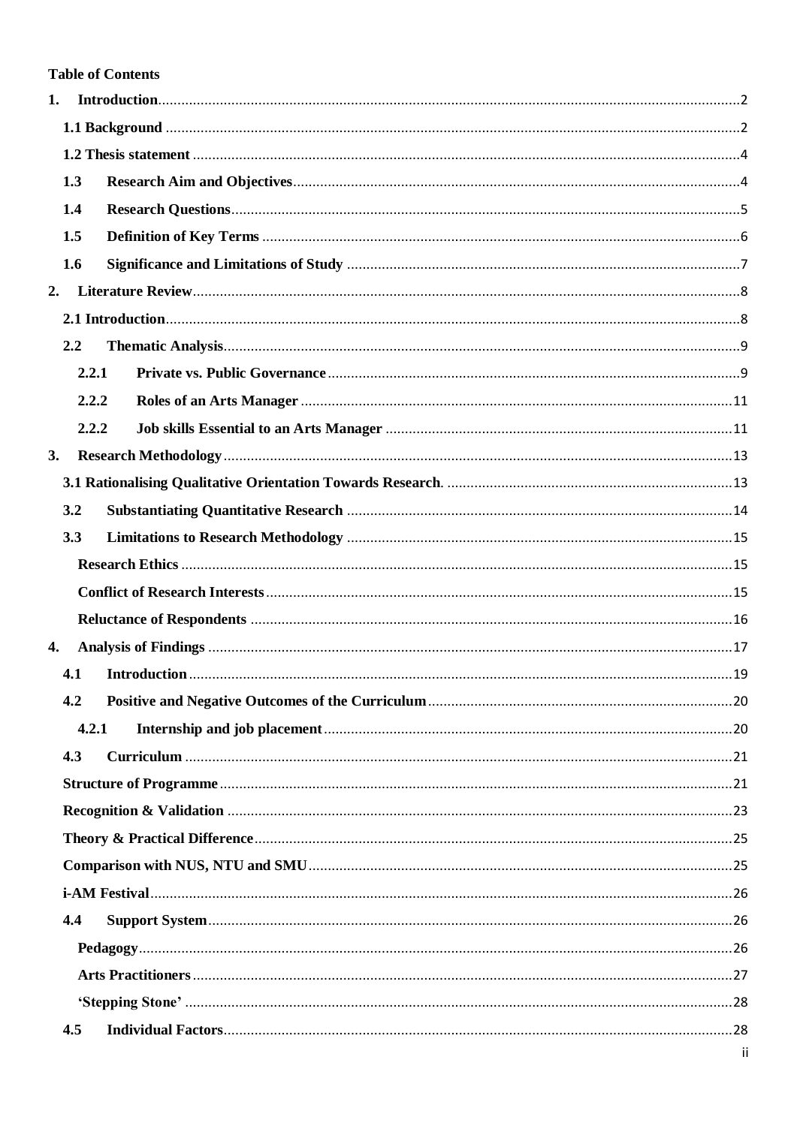# **Table of Contents**

| 1.  |       |  |
|-----|-------|--|
|     |       |  |
|     |       |  |
| 1.3 |       |  |
| 1.4 |       |  |
| 1.5 |       |  |
| 1.6 |       |  |
| 2.  |       |  |
|     |       |  |
| 2.2 |       |  |
|     | 2.2.1 |  |
|     | 2.2.2 |  |
|     | 2.2.2 |  |
| 3.  |       |  |
|     |       |  |
| 3.2 |       |  |
| 3.3 |       |  |
|     |       |  |
|     |       |  |
|     |       |  |
| 4.  |       |  |
| 4.1 |       |  |
| 4.2 |       |  |
|     | 4.2.1 |  |
| 4.3 |       |  |
|     |       |  |
|     |       |  |
|     |       |  |
|     |       |  |
|     |       |  |
| 4.4 |       |  |
|     |       |  |
|     |       |  |
|     |       |  |
| 4.5 |       |  |
|     |       |  |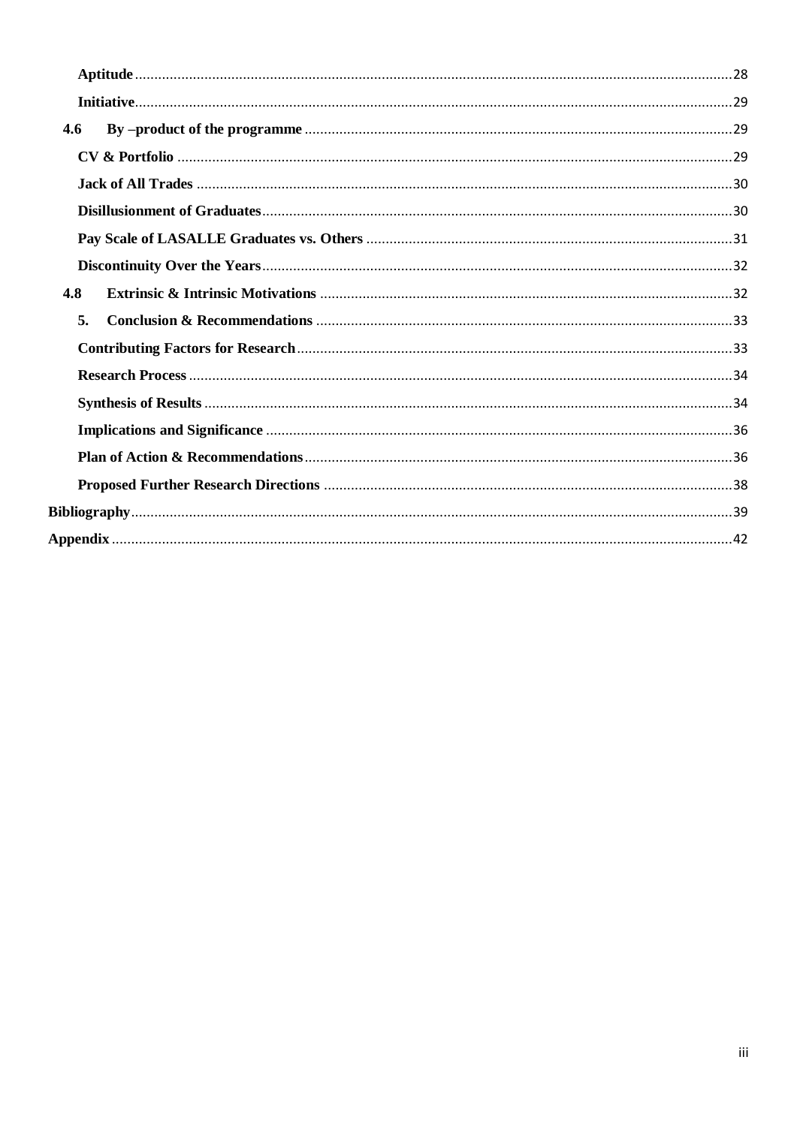| 4.6 |  |  |  |
|-----|--|--|--|
|     |  |  |  |
|     |  |  |  |
|     |  |  |  |
|     |  |  |  |
|     |  |  |  |
| 4.8 |  |  |  |
| 5.  |  |  |  |
|     |  |  |  |
|     |  |  |  |
|     |  |  |  |
|     |  |  |  |
|     |  |  |  |
|     |  |  |  |
|     |  |  |  |
|     |  |  |  |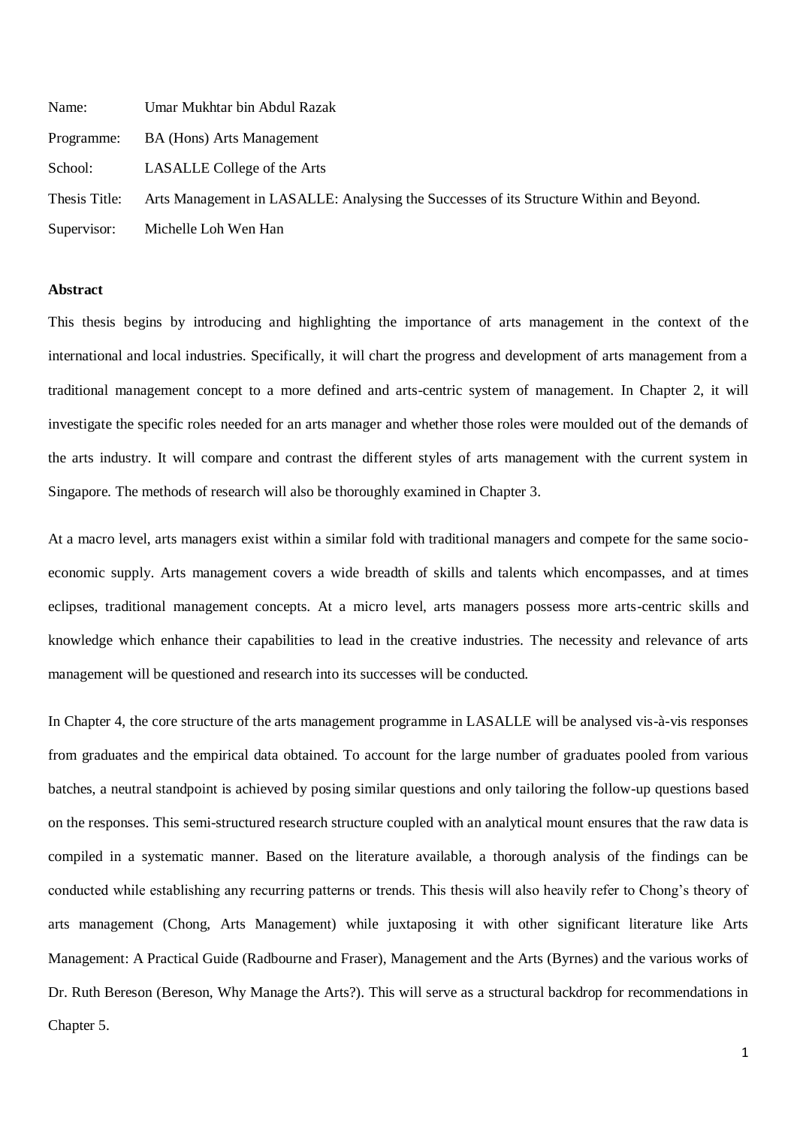| Name:         | Umar Mukhtar bin Abdul Razak                                                            |
|---------------|-----------------------------------------------------------------------------------------|
| Programme:    | <b>BA</b> (Hons) Arts Management                                                        |
| School:       | LASALLE College of the Arts                                                             |
| Thesis Title: | Arts Management in LASALLE: Analysing the Successes of its Structure Within and Beyond. |
| Supervisor:   | Michelle Loh Wen Han                                                                    |

#### **Abstract**

This thesis begins by introducing and highlighting the importance of arts management in the context of the international and local industries. Specifically, it will chart the progress and development of arts management from a traditional management concept to a more defined and arts-centric system of management. In Chapter 2, it will investigate the specific roles needed for an arts manager and whether those roles were moulded out of the demands of the arts industry. It will compare and contrast the different styles of arts management with the current system in Singapore. The methods of research will also be thoroughly examined in Chapter 3.

At a macro level, arts managers exist within a similar fold with traditional managers and compete for the same socioeconomic supply. Arts management covers a wide breadth of skills and talents which encompasses, and at times eclipses, traditional management concepts. At a micro level, arts managers possess more arts-centric skills and knowledge which enhance their capabilities to lead in the creative industries. The necessity and relevance of arts management will be questioned and research into its successes will be conducted.

In Chapter 4, the core structure of the arts management programme in LASALLE will be analysed vis-à-vis responses from graduates and the empirical data obtained. To account for the large number of graduates pooled from various batches, a neutral standpoint is achieved by posing similar questions and only tailoring the follow-up questions based on the responses. This semi-structured research structure coupled with an analytical mount ensures that the raw data is compiled in a systematic manner. Based on the literature available, a thorough analysis of the findings can be conducted while establishing any recurring patterns or trends. This thesis will also heavily refer to Chong's theory of arts management (Chong, Arts Management) while juxtaposing it with other significant literature like Arts Management: A Practical Guide (Radbourne and Fraser), Management and the Arts (Byrnes) and the various works of Dr. Ruth Bereson (Bereson, Why Manage the Arts?). This will serve as a structural backdrop for recommendations in Chapter 5.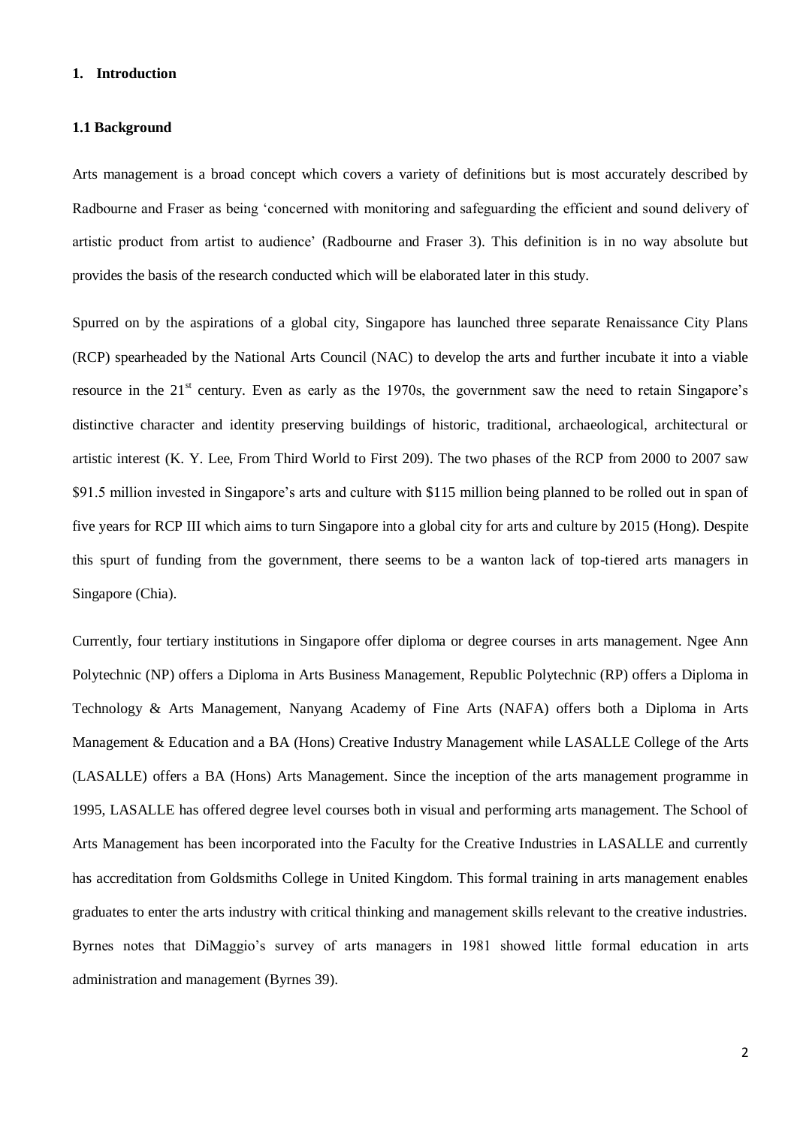## <span id="page-6-0"></span>**1. Introduction**

#### <span id="page-6-1"></span>**1.1 Background**

Arts management is a broad concept which covers a variety of definitions but is most accurately described by Radbourne and Fraser as being 'concerned with monitoring and safeguarding the efficient and sound delivery of artistic product from artist to audience' (Radbourne and Fraser 3). This definition is in no way absolute but provides the basis of the research conducted which will be elaborated later in this study.

Spurred on by the aspirations of a global city, Singapore has launched three separate Renaissance City Plans (RCP) spearheaded by the National Arts Council (NAC) to develop the arts and further incubate it into a viable resource in the 21<sup>st</sup> century. Even as early as the 1970s, the government saw the need to retain Singapore's distinctive character and identity preserving buildings of historic, traditional, archaeological, architectural or artistic interest (K. Y. Lee, From Third World to First 209). The two phases of the RCP from 2000 to 2007 saw \$91.5 million invested in Singapore's arts and culture with \$115 million being planned to be rolled out in span of five years for RCP III which aims to turn Singapore into a global city for arts and culture by 2015 (Hong). Despite this spurt of funding from the government, there seems to be a wanton lack of top-tiered arts managers in Singapore (Chia).

Currently, four tertiary institutions in Singapore offer diploma or degree courses in arts management. Ngee Ann Polytechnic (NP) offers a Diploma in Arts Business Management, Republic Polytechnic (RP) offers a Diploma in Technology & Arts Management, Nanyang Academy of Fine Arts (NAFA) offers both a Diploma in Arts Management & Education and a BA (Hons) Creative Industry Management while LASALLE College of the Arts (LASALLE) offers a BA (Hons) Arts Management. Since the inception of the arts management programme in 1995, LASALLE has offered degree level courses both in visual and performing arts management. The School of Arts Management has been incorporated into the Faculty for the Creative Industries in LASALLE and currently has accreditation from Goldsmiths College in United Kingdom. This formal training in arts management enables graduates to enter the arts industry with critical thinking and management skills relevant to the creative industries. Byrnes notes that DiMaggio's survey of arts managers in 1981 showed little formal education in arts administration and management (Byrnes 39).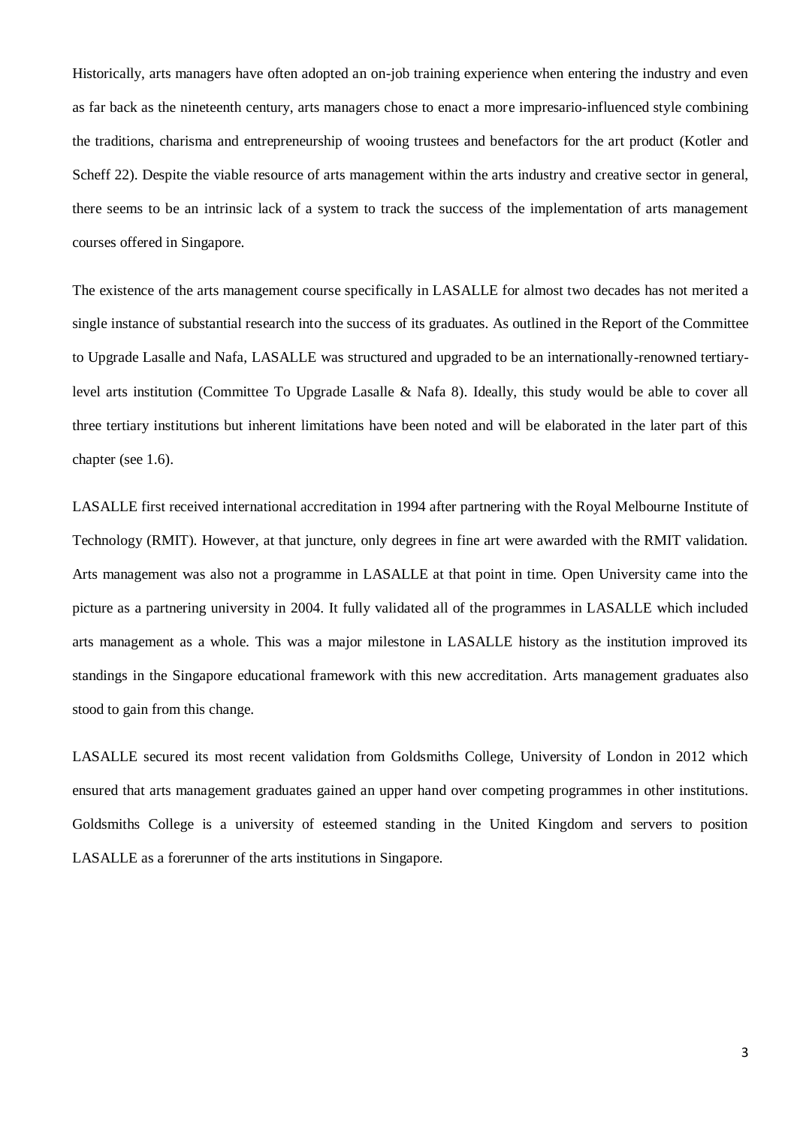Historically, arts managers have often adopted an on-job training experience when entering the industry and even as far back as the nineteenth century, arts managers chose to enact a more impresario-influenced style combining the traditions, charisma and entrepreneurship of wooing trustees and benefactors for the art product (Kotler and Scheff 22). Despite the viable resource of arts management within the arts industry and creative sector in general, there seems to be an intrinsic lack of a system to track the success of the implementation of arts management courses offered in Singapore.

The existence of the arts management course specifically in LASALLE for almost two decades has not merited a single instance of substantial research into the success of its graduates. As outlined in the Report of the Committee to Upgrade Lasalle and Nafa, LASALLE was structured and upgraded to be an internationally-renowned tertiarylevel arts institution (Committee To Upgrade Lasalle & Nafa 8). Ideally, this study would be able to cover all three tertiary institutions but inherent limitations have been noted and will be elaborated in the later part of this chapter (see 1.6).

LASALLE first received international accreditation in 1994 after partnering with the Royal Melbourne Institute of Technology (RMIT). However, at that juncture, only degrees in fine art were awarded with the RMIT validation. Arts management was also not a programme in LASALLE at that point in time. Open University came into the picture as a partnering university in 2004. It fully validated all of the programmes in LASALLE which included arts management as a whole. This was a major milestone in LASALLE history as the institution improved its standings in the Singapore educational framework with this new accreditation. Arts management graduates also stood to gain from this change.

LASALLE secured its most recent validation from Goldsmiths College, University of London in 2012 which ensured that arts management graduates gained an upper hand over competing programmes in other institutions. Goldsmiths College is a university of esteemed standing in the United Kingdom and servers to position LASALLE as a forerunner of the arts institutions in Singapore.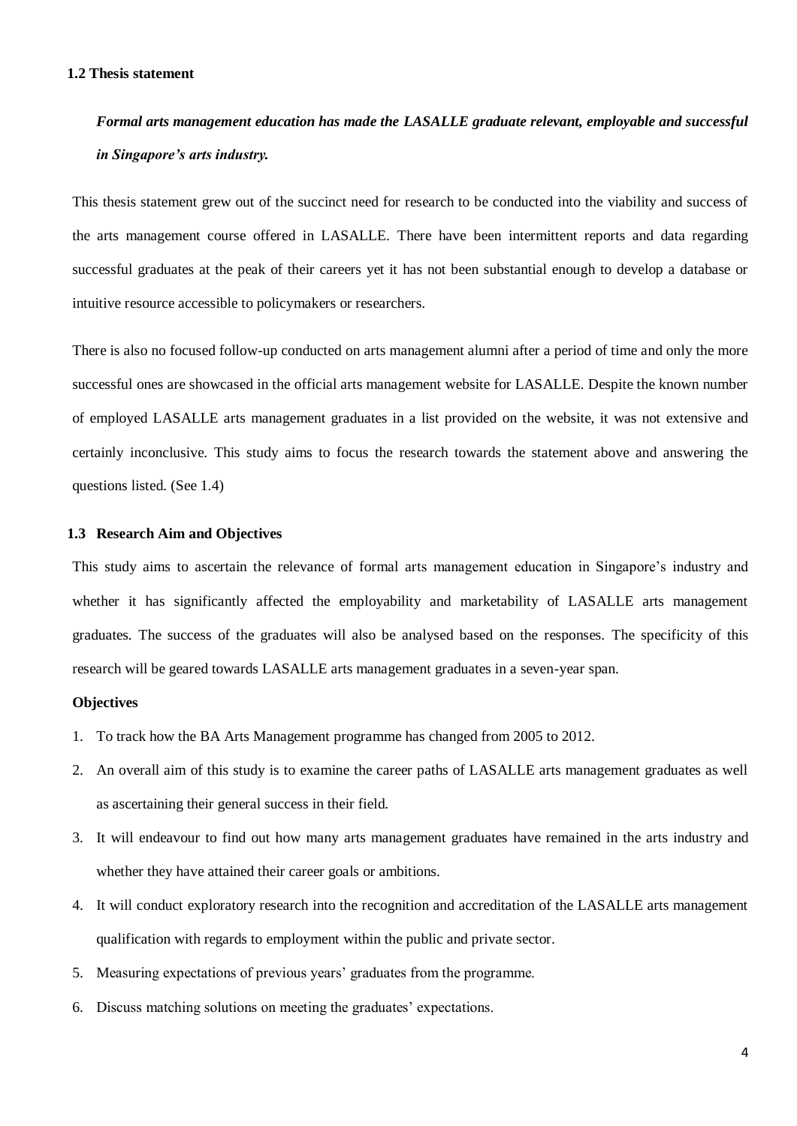#### <span id="page-8-0"></span>**1.2 Thesis statement**

# *Formal arts management education has made the LASALLE graduate relevant, employable and successful in Singapore's arts industry.*

This thesis statement grew out of the succinct need for research to be conducted into the viability and success of the arts management course offered in LASALLE. There have been intermittent reports and data regarding successful graduates at the peak of their careers yet it has not been substantial enough to develop a database or intuitive resource accessible to policymakers or researchers.

There is also no focused follow-up conducted on arts management alumni after a period of time and only the more successful ones are showcased in the official arts management website for LASALLE. Despite the known number of employed LASALLE arts management graduates in a list provided on the website, it was not extensive and certainly inconclusive. This study aims to focus the research towards the statement above and answering the questions listed. (See 1.4)

### <span id="page-8-1"></span>**1.3 Research Aim and Objectives**

This study aims to ascertain the relevance of formal arts management education in Singapore's industry and whether it has significantly affected the employability and marketability of LASALLE arts management graduates. The success of the graduates will also be analysed based on the responses. The specificity of this research will be geared towards LASALLE arts management graduates in a seven-year span.

## **Objectives**

- 1. To track how the BA Arts Management programme has changed from 2005 to 2012.
- 2. An overall aim of this study is to examine the career paths of LASALLE arts management graduates as well as ascertaining their general success in their field.
- 3. It will endeavour to find out how many arts management graduates have remained in the arts industry and whether they have attained their career goals or ambitions.
- 4. It will conduct exploratory research into the recognition and accreditation of the LASALLE arts management qualification with regards to employment within the public and private sector.
- 5. Measuring expectations of previous years' graduates from the programme.
- 6. Discuss matching solutions on meeting the graduates' expectations.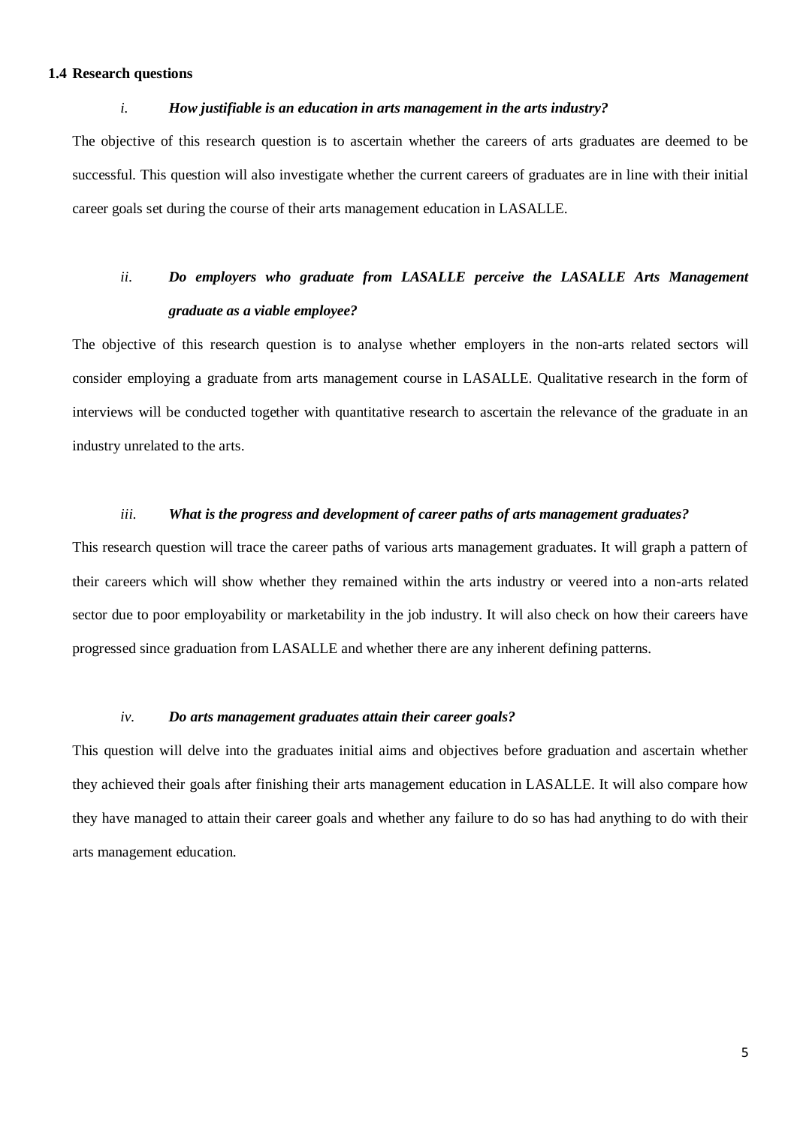## <span id="page-9-0"></span>**1.4 Research questions**

#### *i. How justifiable is an education in arts management in the arts industry?*

The objective of this research question is to ascertain whether the careers of arts graduates are deemed to be successful. This question will also investigate whether the current careers of graduates are in line with their initial career goals set during the course of their arts management education in LASALLE.

# *ii. Do employers who graduate from LASALLE perceive the LASALLE Arts Management graduate as a viable employee?*

The objective of this research question is to analyse whether employers in the non-arts related sectors will consider employing a graduate from arts management course in LASALLE. Qualitative research in the form of interviews will be conducted together with quantitative research to ascertain the relevance of the graduate in an industry unrelated to the arts.

#### *iii. What is the progress and development of career paths of arts management graduates?*

This research question will trace the career paths of various arts management graduates. It will graph a pattern of their careers which will show whether they remained within the arts industry or veered into a non-arts related sector due to poor employability or marketability in the job industry. It will also check on how their careers have progressed since graduation from LASALLE and whether there are any inherent defining patterns.

### *iv. Do arts management graduates attain their career goals?*

This question will delve into the graduates initial aims and objectives before graduation and ascertain whether they achieved their goals after finishing their arts management education in LASALLE. It will also compare how they have managed to attain their career goals and whether any failure to do so has had anything to do with their arts management education.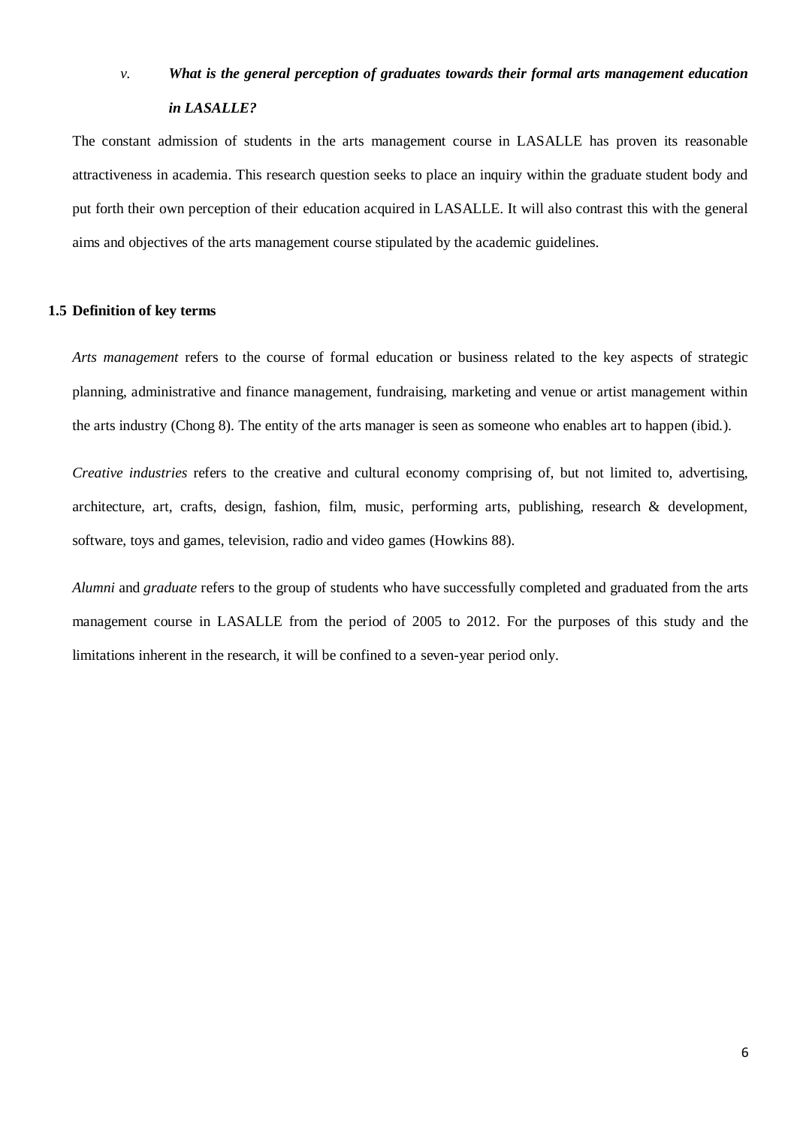# *v. What is the general perception of graduates towards their formal arts management education in LASALLE?*

The constant admission of students in the arts management course in LASALLE has proven its reasonable attractiveness in academia. This research question seeks to place an inquiry within the graduate student body and put forth their own perception of their education acquired in LASALLE. It will also contrast this with the general aims and objectives of the arts management course stipulated by the academic guidelines.

#### <span id="page-10-0"></span>**1.5 Definition of key terms**

*Arts management* refers to the course of formal education or business related to the key aspects of strategic planning, administrative and finance management, fundraising, marketing and venue or artist management within the arts industry (Chong 8). The entity of the arts manager is seen as someone who enables art to happen (ibid.).

*Creative industries* refers to the creative and cultural economy comprising of, but not limited to, advertising, architecture, art, crafts, design, fashion, film, music, performing arts, publishing, research & development, software, toys and games, television, radio and video games (Howkins 88).

*Alumni* and *graduate* refers to the group of students who have successfully completed and graduated from the arts management course in LASALLE from the period of 2005 to 2012. For the purposes of this study and the limitations inherent in the research, it will be confined to a seven-year period only.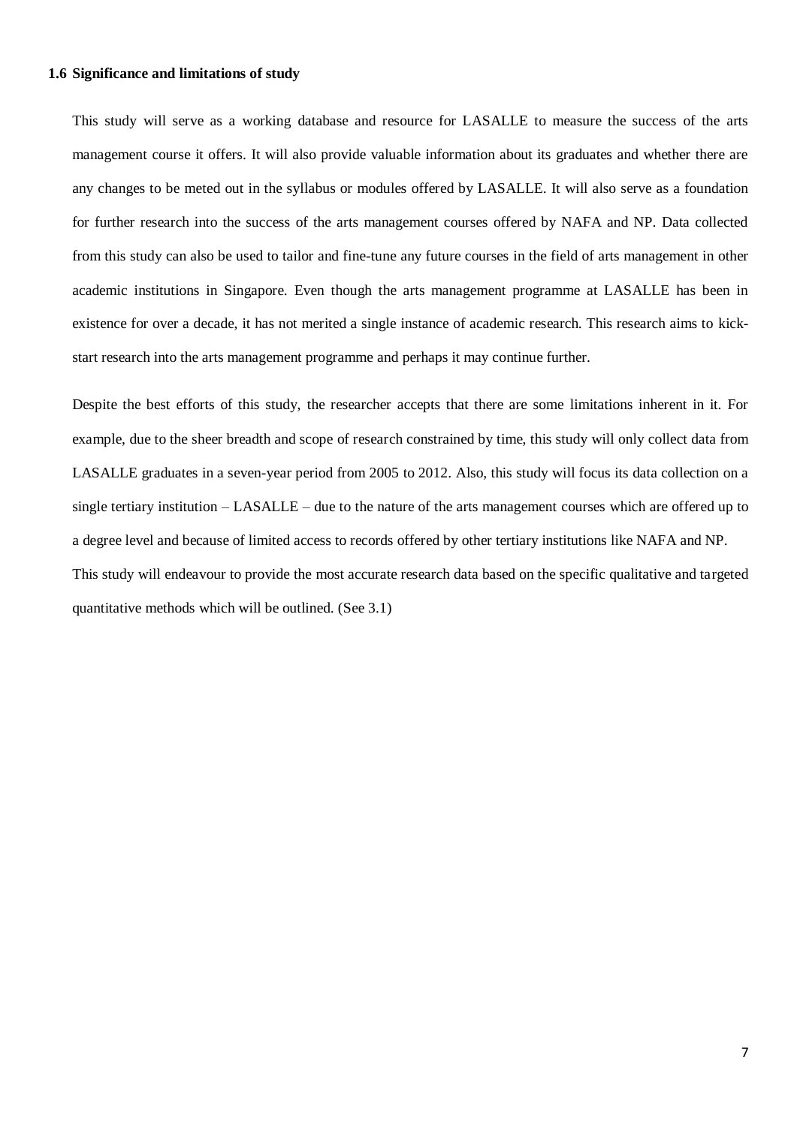## <span id="page-11-0"></span>**1.6 Significance and limitations of study**

This study will serve as a working database and resource for LASALLE to measure the success of the arts management course it offers. It will also provide valuable information about its graduates and whether there are any changes to be meted out in the syllabus or modules offered by LASALLE. It will also serve as a foundation for further research into the success of the arts management courses offered by NAFA and NP. Data collected from this study can also be used to tailor and fine-tune any future courses in the field of arts management in other academic institutions in Singapore. Even though the arts management programme at LASALLE has been in existence for over a decade, it has not merited a single instance of academic research. This research aims to kickstart research into the arts management programme and perhaps it may continue further.

Despite the best efforts of this study, the researcher accepts that there are some limitations inherent in it. For example, due to the sheer breadth and scope of research constrained by time, this study will only collect data from LASALLE graduates in a seven-year period from 2005 to 2012. Also, this study will focus its data collection on a single tertiary institution – LASALLE – due to the nature of the arts management courses which are offered up to a degree level and because of limited access to records offered by other tertiary institutions like NAFA and NP. This study will endeavour to provide the most accurate research data based on the specific qualitative and targeted quantitative methods which will be outlined. (See 3.1)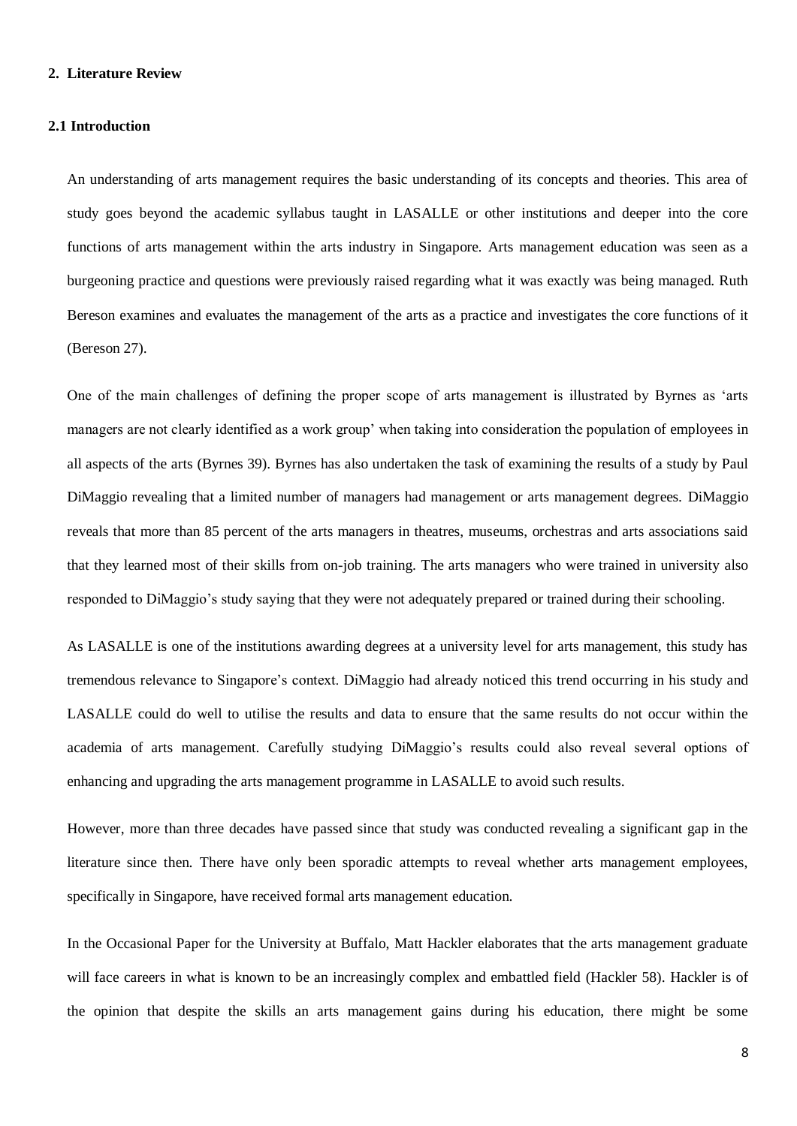### <span id="page-12-0"></span>**2. Literature Review**

#### <span id="page-12-1"></span>**2.1 Introduction**

An understanding of arts management requires the basic understanding of its concepts and theories. This area of study goes beyond the academic syllabus taught in LASALLE or other institutions and deeper into the core functions of arts management within the arts industry in Singapore. Arts management education was seen as a burgeoning practice and questions were previously raised regarding what it was exactly was being managed. Ruth Bereson examines and evaluates the management of the arts as a practice and investigates the core functions of it (Bereson 27).

One of the main challenges of defining the proper scope of arts management is illustrated by Byrnes as 'arts managers are not clearly identified as a work group' when taking into consideration the population of employees in all aspects of the arts (Byrnes 39). Byrnes has also undertaken the task of examining the results of a study by Paul DiMaggio revealing that a limited number of managers had management or arts management degrees. DiMaggio reveals that more than 85 percent of the arts managers in theatres, museums, orchestras and arts associations said that they learned most of their skills from on-job training. The arts managers who were trained in university also responded to DiMaggio's study saying that they were not adequately prepared or trained during their schooling.

As LASALLE is one of the institutions awarding degrees at a university level for arts management, this study has tremendous relevance to Singapore's context. DiMaggio had already noticed this trend occurring in his study and LASALLE could do well to utilise the results and data to ensure that the same results do not occur within the academia of arts management. Carefully studying DiMaggio's results could also reveal several options of enhancing and upgrading the arts management programme in LASALLE to avoid such results.

However, more than three decades have passed since that study was conducted revealing a significant gap in the literature since then. There have only been sporadic attempts to reveal whether arts management employees, specifically in Singapore, have received formal arts management education.

In the Occasional Paper for the University at Buffalo, Matt Hackler elaborates that the arts management graduate will face careers in what is known to be an increasingly complex and embattled field (Hackler 58). Hackler is of the opinion that despite the skills an arts management gains during his education, there might be some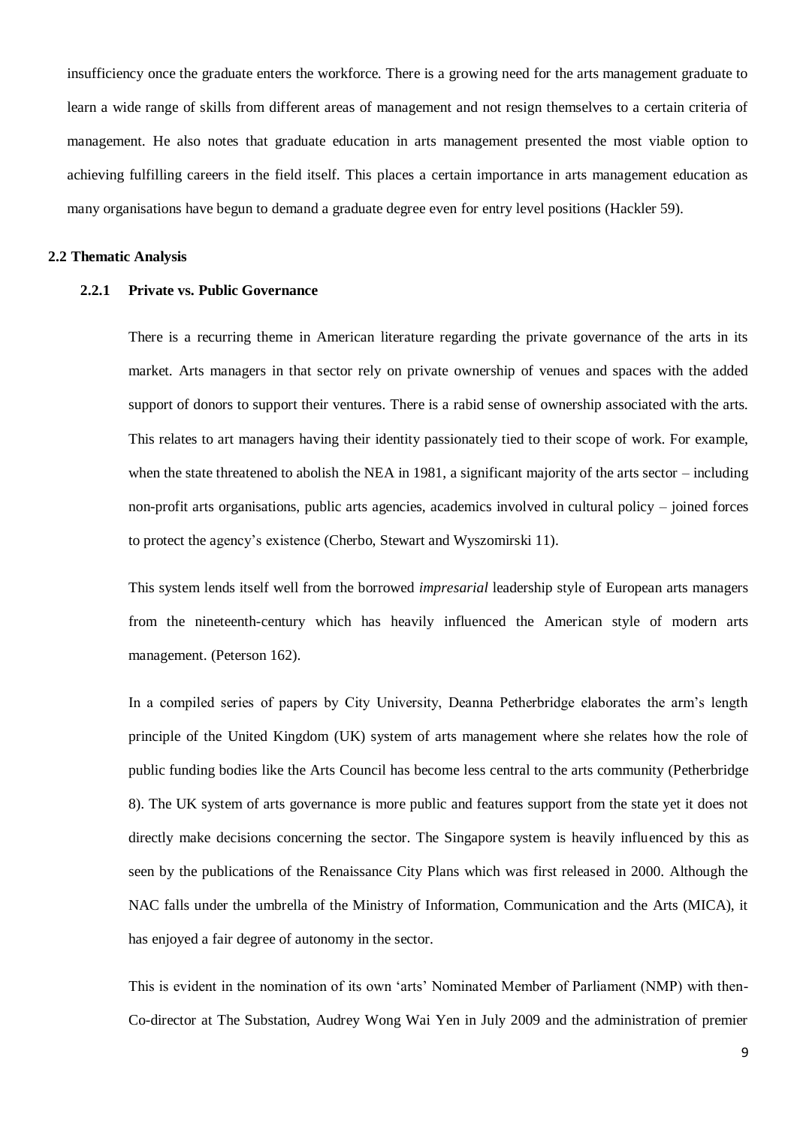insufficiency once the graduate enters the workforce. There is a growing need for the arts management graduate to learn a wide range of skills from different areas of management and not resign themselves to a certain criteria of management. He also notes that graduate education in arts management presented the most viable option to achieving fulfilling careers in the field itself. This places a certain importance in arts management education as many organisations have begun to demand a graduate degree even for entry level positions (Hackler 59).

### <span id="page-13-1"></span><span id="page-13-0"></span>**2.2 Thematic Analysis**

## **2.2.1 Private vs. Public Governance**

There is a recurring theme in American literature regarding the private governance of the arts in its market. Arts managers in that sector rely on private ownership of venues and spaces with the added support of donors to support their ventures. There is a rabid sense of ownership associated with the arts. This relates to art managers having their identity passionately tied to their scope of work. For example, when the state threatened to abolish the NEA in 1981, a significant majority of the arts sector – including non-profit arts organisations, public arts agencies, academics involved in cultural policy – joined forces to protect the agency's existence (Cherbo, Stewart and Wyszomirski 11).

This system lends itself well from the borrowed *impresarial* leadership style of European arts managers from the nineteenth-century which has heavily influenced the American style of modern arts management. (Peterson 162).

In a compiled series of papers by City University, Deanna Petherbridge elaborates the arm's length principle of the United Kingdom (UK) system of arts management where she relates how the role of public funding bodies like the Arts Council has become less central to the arts community (Petherbridge 8). The UK system of arts governance is more public and features support from the state yet it does not directly make decisions concerning the sector. The Singapore system is heavily influenced by this as seen by the publications of the Renaissance City Plans which was first released in 2000. Although the NAC falls under the umbrella of the Ministry of Information, Communication and the Arts (MICA), it has enjoyed a fair degree of autonomy in the sector.

This is evident in the nomination of its own 'arts' Nominated Member of Parliament (NMP) with then-Co-director at The Substation, Audrey Wong Wai Yen in July 2009 and the administration of premier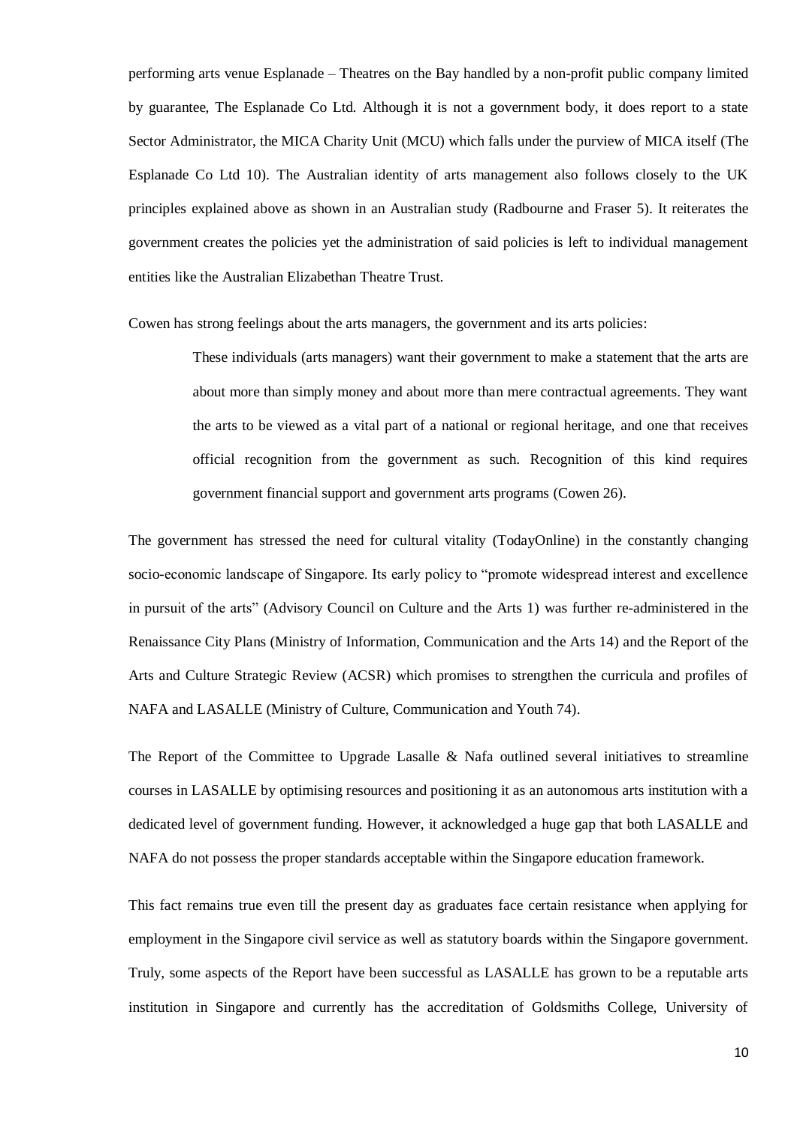performing arts venue Esplanade – Theatres on the Bay handled by a non-profit public company limited by guarantee, The Esplanade Co Ltd. Although it is not a government body, it does report to a state Sector Administrator, the MICA Charity Unit (MCU) which falls under the purview of MICA itself (The Esplanade Co Ltd 10). The Australian identity of arts management also follows closely to the UK principles explained above as shown in an Australian study (Radbourne and Fraser 5). It reiterates the government creates the policies yet the administration of said policies is left to individual management entities like the Australian Elizabethan Theatre Trust.

Cowen has strong feelings about the arts managers, the government and its arts policies:

These individuals (arts managers) want their government to make a statement that the arts are about more than simply money and about more than mere contractual agreements. They want the arts to be viewed as a vital part of a national or regional heritage, and one that receives official recognition from the government as such. Recognition of this kind requires government financial support and government arts programs (Cowen 26).

The government has stressed the need for cultural vitality (TodayOnline) in the constantly changing socio-economic landscape of Singapore. Its early policy to "promote widespread interest and excellence in pursuit of the arts" (Advisory Council on Culture and the Arts 1) was further re-administered in the Renaissance City Plans (Ministry of Information, Communication and the Arts 14) and the Report of the Arts and Culture Strategic Review (ACSR) which promises to strengthen the curricula and profiles of NAFA and LASALLE (Ministry of Culture, Communication and Youth 74).

The Report of the Committee to Upgrade Lasalle & Nafa outlined several initiatives to streamline courses in LASALLE by optimising resources and positioning it as an autonomous arts institution with a dedicated level of government funding. However, it acknowledged a huge gap that both LASALLE and NAFA do not possess the proper standards acceptable within the Singapore education framework.

This fact remains true even till the present day as graduates face certain resistance when applying for employment in the Singapore civil service as well as statutory boards within the Singapore government. Truly, some aspects of the Report have been successful as LASALLE has grown to be a reputable arts institution in Singapore and currently has the accreditation of Goldsmiths College, University of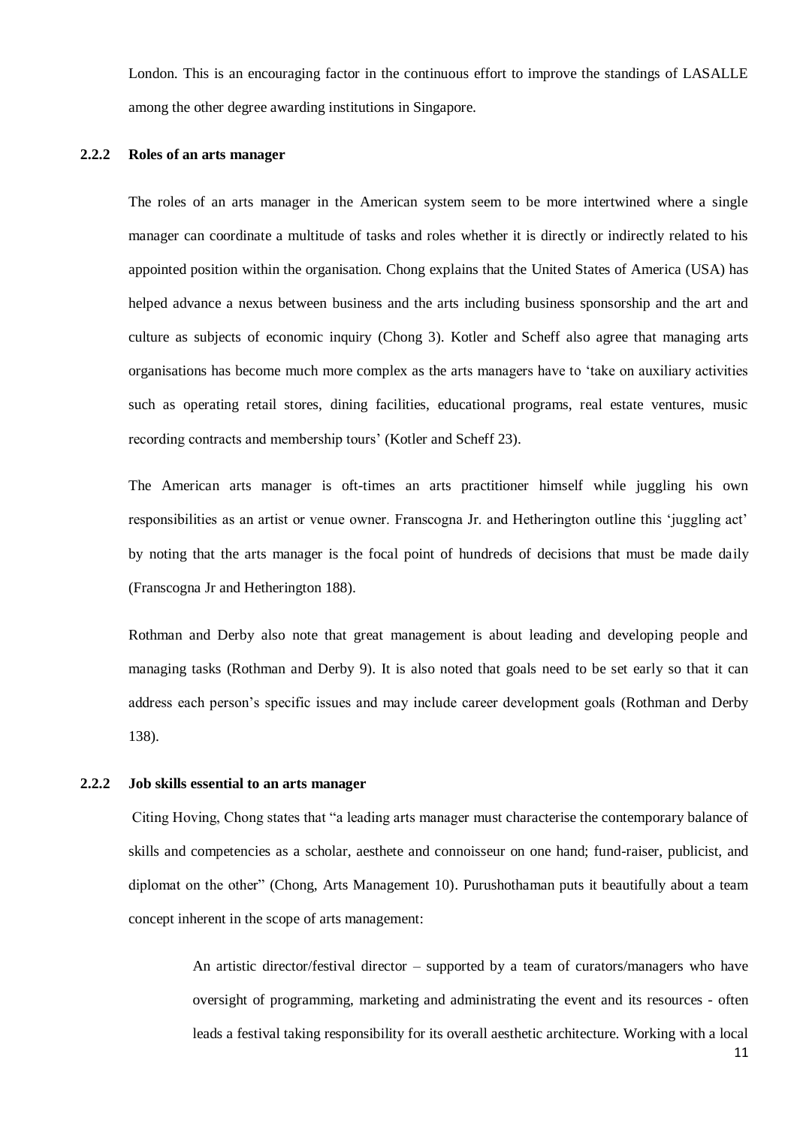London. This is an encouraging factor in the continuous effort to improve the standings of LASALLE among the other degree awarding institutions in Singapore.

## <span id="page-15-0"></span>**2.2.2 Roles of an arts manager**

The roles of an arts manager in the American system seem to be more intertwined where a single manager can coordinate a multitude of tasks and roles whether it is directly or indirectly related to his appointed position within the organisation. Chong explains that the United States of America (USA) has helped advance a nexus between business and the arts including business sponsorship and the art and culture as subjects of economic inquiry (Chong 3). Kotler and Scheff also agree that managing arts organisations has become much more complex as the arts managers have to 'take on auxiliary activities such as operating retail stores, dining facilities, educational programs, real estate ventures, music recording contracts and membership tours' (Kotler and Scheff 23).

The American arts manager is oft-times an arts practitioner himself while juggling his own responsibilities as an artist or venue owner. Franscogna Jr. and Hetherington outline this 'juggling act' by noting that the arts manager is the focal point of hundreds of decisions that must be made daily (Franscogna Jr and Hetherington 188).

Rothman and Derby also note that great management is about leading and developing people and managing tasks (Rothman and Derby 9). It is also noted that goals need to be set early so that it can address each person's specific issues and may include career development goals (Rothman and Derby 138).

## <span id="page-15-1"></span>**2.2.2 Job skills essential to an arts manager**

Citing Hoving, Chong states that "a leading arts manager must characterise the contemporary balance of skills and competencies as a scholar, aesthete and connoisseur on one hand; fund-raiser, publicist, and diplomat on the other" (Chong, Arts Management 10). Purushothaman puts it beautifully about a team concept inherent in the scope of arts management:

> An artistic director/festival director – supported by a team of curators/managers who have oversight of programming, marketing and administrating the event and its resources - often leads a festival taking responsibility for its overall aesthetic architecture. Working with a local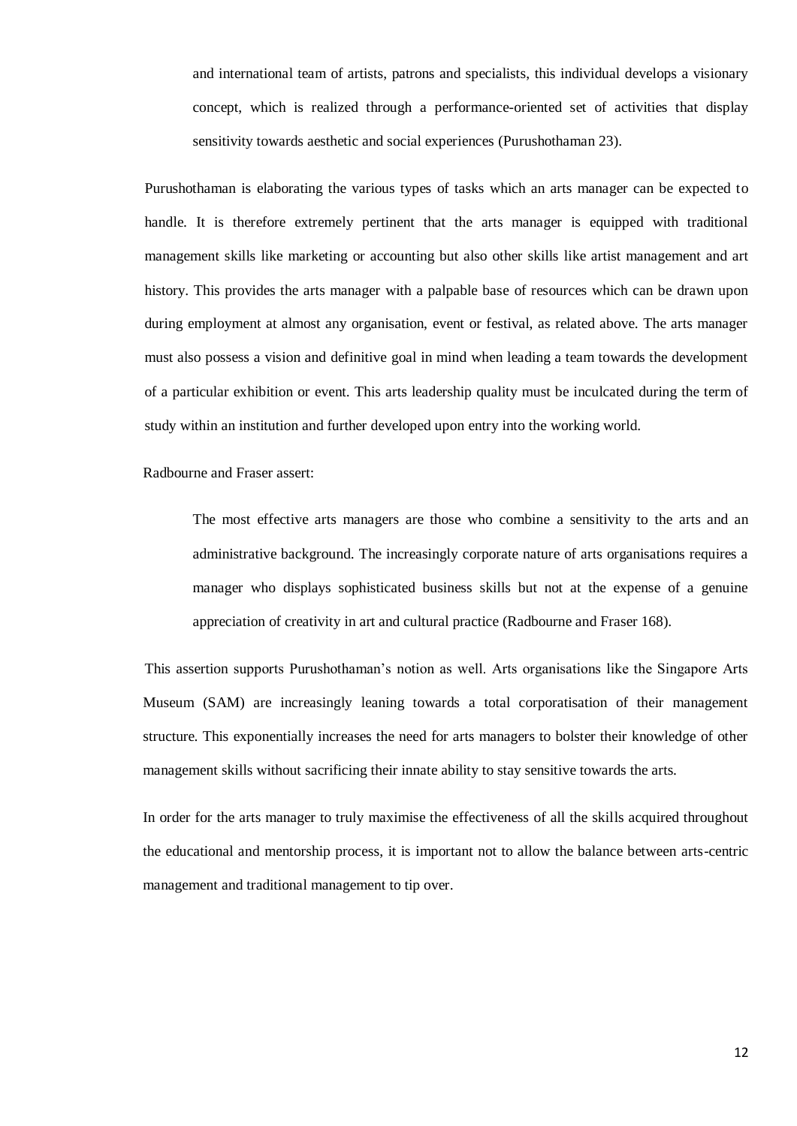and international team of artists, patrons and specialists, this individual develops a visionary concept, which is realized through a performance-oriented set of activities that display sensitivity towards aesthetic and social experiences (Purushothaman 23).

Purushothaman is elaborating the various types of tasks which an arts manager can be expected to handle. It is therefore extremely pertinent that the arts manager is equipped with traditional management skills like marketing or accounting but also other skills like artist management and art history. This provides the arts manager with a palpable base of resources which can be drawn upon during employment at almost any organisation, event or festival, as related above. The arts manager must also possess a vision and definitive goal in mind when leading a team towards the development of a particular exhibition or event. This arts leadership quality must be inculcated during the term of study within an institution and further developed upon entry into the working world.

Radbourne and Fraser assert:

The most effective arts managers are those who combine a sensitivity to the arts and an administrative background. The increasingly corporate nature of arts organisations requires a manager who displays sophisticated business skills but not at the expense of a genuine appreciation of creativity in art and cultural practice (Radbourne and Fraser 168).

This assertion supports Purushothaman's notion as well. Arts organisations like the Singapore Arts Museum (SAM) are increasingly leaning towards a total corporatisation of their management structure. This exponentially increases the need for arts managers to bolster their knowledge of other management skills without sacrificing their innate ability to stay sensitive towards the arts.

In order for the arts manager to truly maximise the effectiveness of all the skills acquired throughout the educational and mentorship process, it is important not to allow the balance between arts-centric management and traditional management to tip over.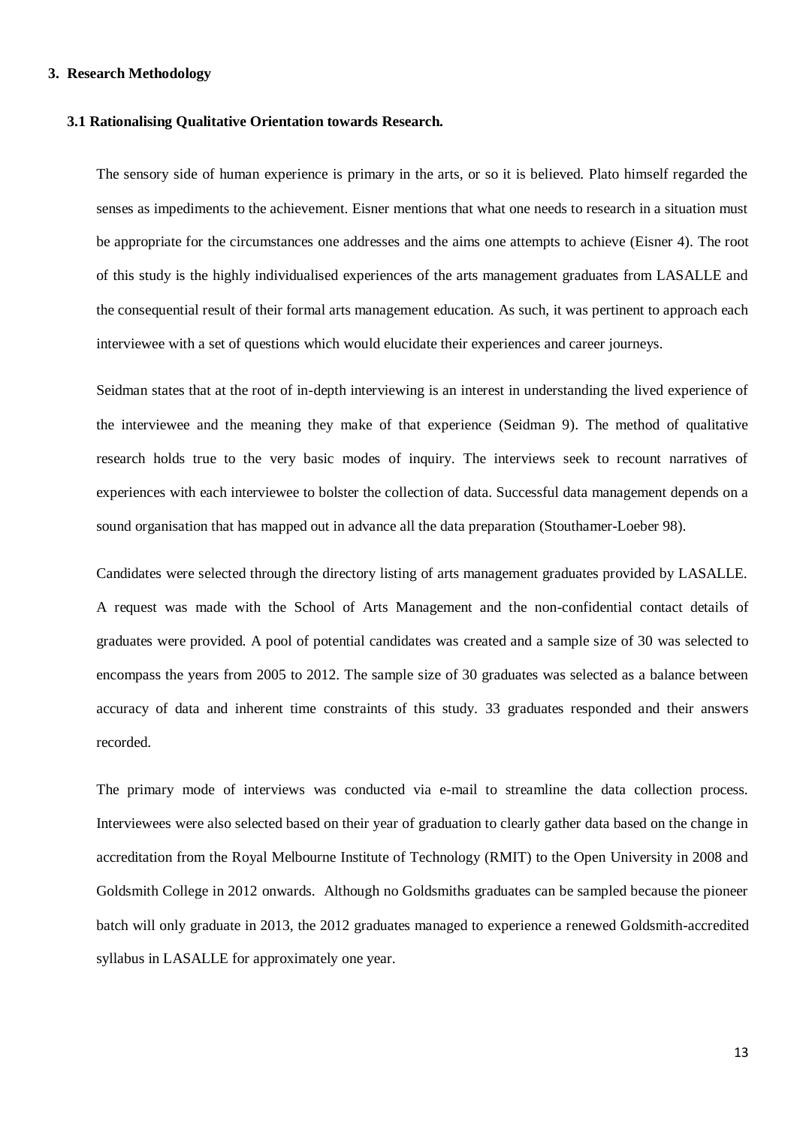## <span id="page-17-0"></span>**3. Research Methodology**

#### <span id="page-17-1"></span>**3.1 Rationalising Qualitative Orientation towards Research.**

The sensory side of human experience is primary in the arts, or so it is believed. Plato himself regarded the senses as impediments to the achievement. Eisner mentions that what one needs to research in a situation must be appropriate for the circumstances one addresses and the aims one attempts to achieve (Eisner 4). The root of this study is the highly individualised experiences of the arts management graduates from LASALLE and the consequential result of their formal arts management education. As such, it was pertinent to approach each interviewee with a set of questions which would elucidate their experiences and career journeys.

Seidman states that at the root of in-depth interviewing is an interest in understanding the lived experience of the interviewee and the meaning they make of that experience (Seidman 9). The method of qualitative research holds true to the very basic modes of inquiry. The interviews seek to recount narratives of experiences with each interviewee to bolster the collection of data. Successful data management depends on a sound organisation that has mapped out in advance all the data preparation (Stouthamer-Loeber 98).

Candidates were selected through the directory listing of arts management graduates provided by LASALLE. A request was made with the School of Arts Management and the non-confidential contact details of graduates were provided. A pool of potential candidates was created and a sample size of 30 was selected to encompass the years from 2005 to 2012. The sample size of 30 graduates was selected as a balance between accuracy of data and inherent time constraints of this study. 33 graduates responded and their answers recorded.

The primary mode of interviews was conducted via e-mail to streamline the data collection process. Interviewees were also selected based on their year of graduation to clearly gather data based on the change in accreditation from the Royal Melbourne Institute of Technology (RMIT) to the Open University in 2008 and Goldsmith College in 2012 onwards. Although no Goldsmiths graduates can be sampled because the pioneer batch will only graduate in 2013, the 2012 graduates managed to experience a renewed Goldsmith-accredited syllabus in LASALLE for approximately one year.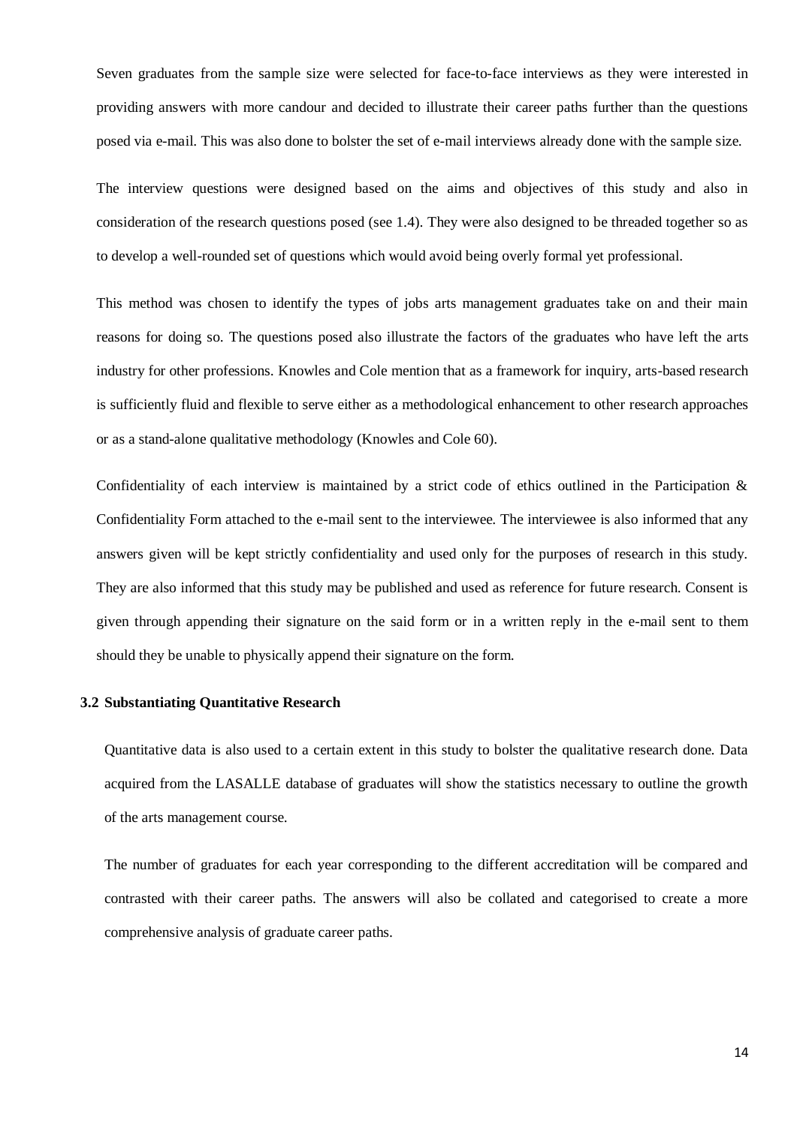Seven graduates from the sample size were selected for face-to-face interviews as they were interested in providing answers with more candour and decided to illustrate their career paths further than the questions posed via e-mail. This was also done to bolster the set of e-mail interviews already done with the sample size.

The interview questions were designed based on the aims and objectives of this study and also in consideration of the research questions posed (see 1.4). They were also designed to be threaded together so as to develop a well-rounded set of questions which would avoid being overly formal yet professional.

This method was chosen to identify the types of jobs arts management graduates take on and their main reasons for doing so. The questions posed also illustrate the factors of the graduates who have left the arts industry for other professions. Knowles and Cole mention that as a framework for inquiry, arts-based research is sufficiently fluid and flexible to serve either as a methodological enhancement to other research approaches or as a stand-alone qualitative methodology (Knowles and Cole 60).

Confidentiality of each interview is maintained by a strict code of ethics outlined in the Participation & Confidentiality Form attached to the e-mail sent to the interviewee. The interviewee is also informed that any answers given will be kept strictly confidentiality and used only for the purposes of research in this study. They are also informed that this study may be published and used as reference for future research. Consent is given through appending their signature on the said form or in a written reply in the e-mail sent to them should they be unable to physically append their signature on the form.

## <span id="page-18-0"></span>**3.2 Substantiating Quantitative Research**

Quantitative data is also used to a certain extent in this study to bolster the qualitative research done. Data acquired from the LASALLE database of graduates will show the statistics necessary to outline the growth of the arts management course.

The number of graduates for each year corresponding to the different accreditation will be compared and contrasted with their career paths. The answers will also be collated and categorised to create a more comprehensive analysis of graduate career paths.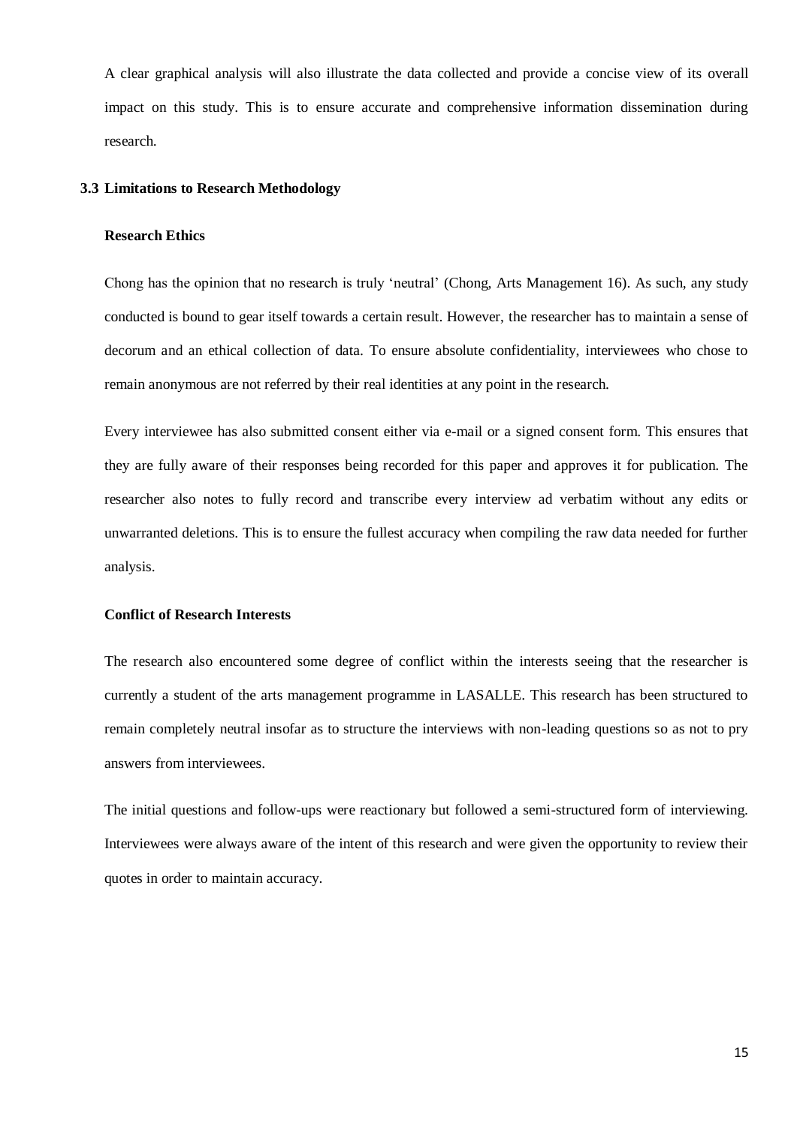A clear graphical analysis will also illustrate the data collected and provide a concise view of its overall impact on this study. This is to ensure accurate and comprehensive information dissemination during research.

## <span id="page-19-1"></span><span id="page-19-0"></span>**3.3 Limitations to Research Methodology**

#### **Research Ethics**

Chong has the opinion that no research is truly 'neutral' (Chong, Arts Management 16). As such, any study conducted is bound to gear itself towards a certain result. However, the researcher has to maintain a sense of decorum and an ethical collection of data. To ensure absolute confidentiality, interviewees who chose to remain anonymous are not referred by their real identities at any point in the research.

Every interviewee has also submitted consent either via e-mail or a signed consent form. This ensures that they are fully aware of their responses being recorded for this paper and approves it for publication. The researcher also notes to fully record and transcribe every interview ad verbatim without any edits or unwarranted deletions. This is to ensure the fullest accuracy when compiling the raw data needed for further analysis.

#### <span id="page-19-2"></span>**Conflict of Research Interests**

The research also encountered some degree of conflict within the interests seeing that the researcher is currently a student of the arts management programme in LASALLE. This research has been structured to remain completely neutral insofar as to structure the interviews with non-leading questions so as not to pry answers from interviewees.

The initial questions and follow-ups were reactionary but followed a semi-structured form of interviewing. Interviewees were always aware of the intent of this research and were given the opportunity to review their quotes in order to maintain accuracy.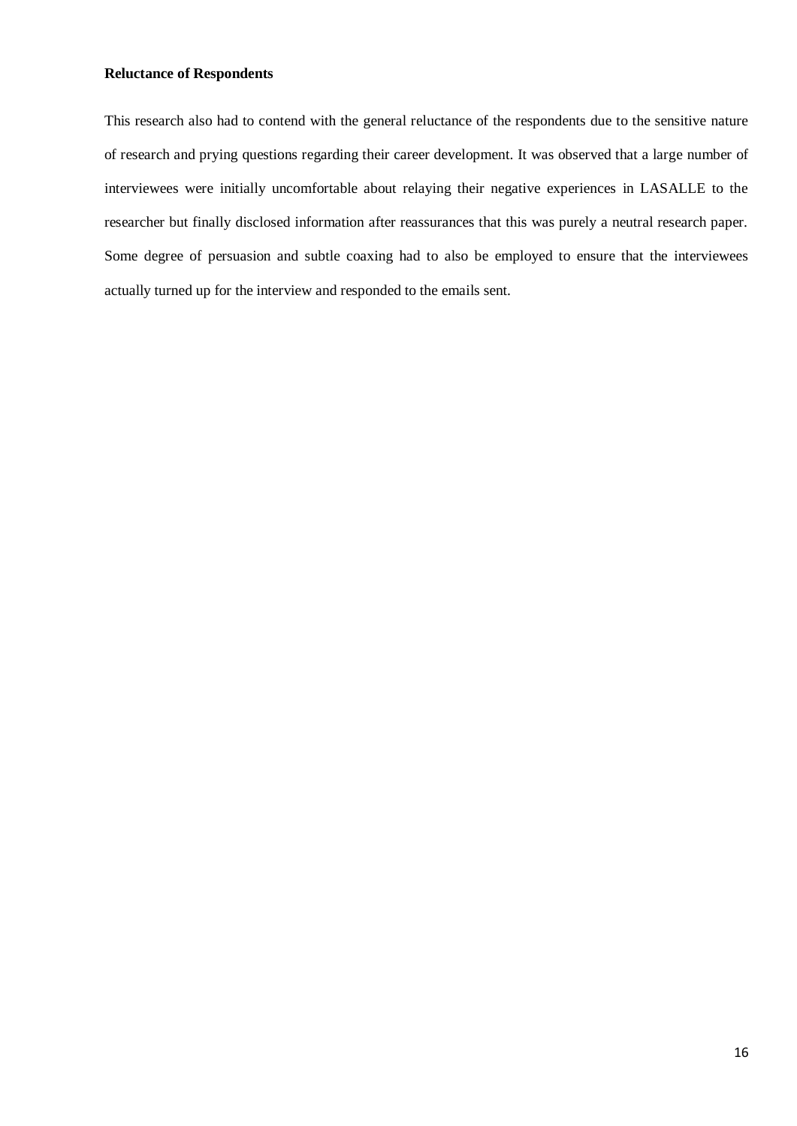# <span id="page-20-0"></span>**Reluctance of Respondents**

This research also had to contend with the general reluctance of the respondents due to the sensitive nature of research and prying questions regarding their career development. It was observed that a large number of interviewees were initially uncomfortable about relaying their negative experiences in LASALLE to the researcher but finally disclosed information after reassurances that this was purely a neutral research paper. Some degree of persuasion and subtle coaxing had to also be employed to ensure that the interviewees actually turned up for the interview and responded to the emails sent.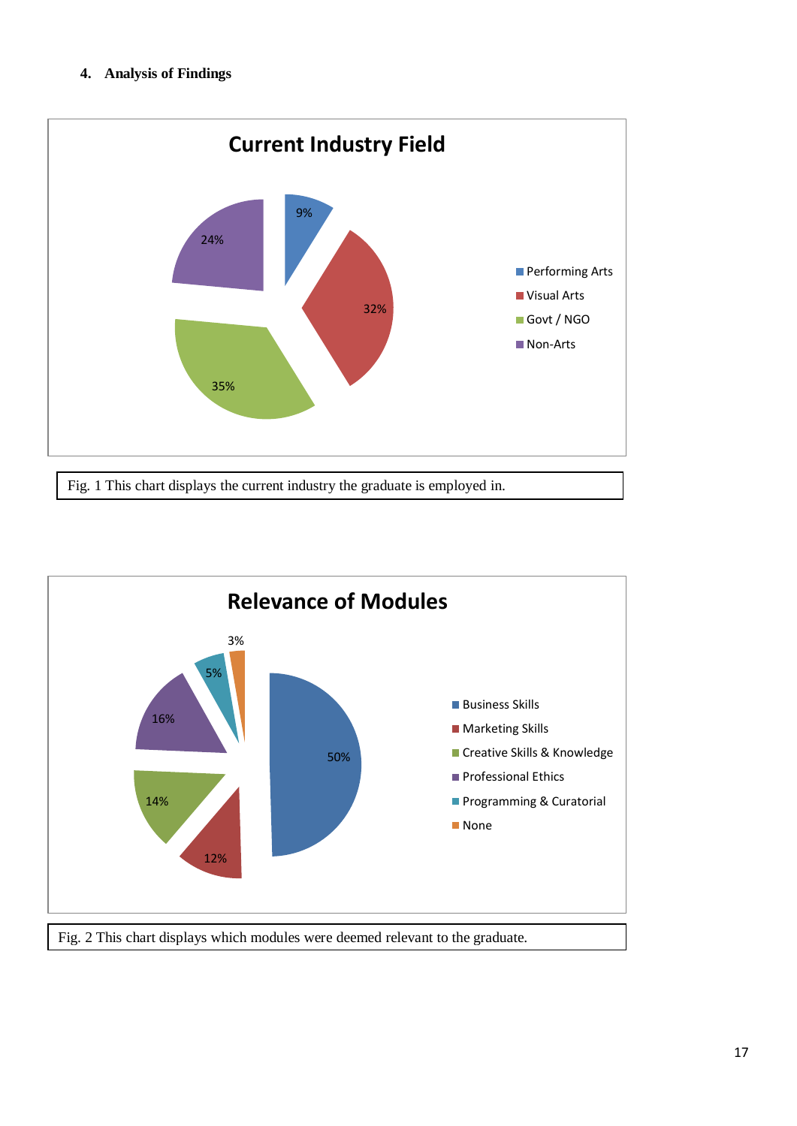# <span id="page-21-0"></span>**4. Analysis of Findings**



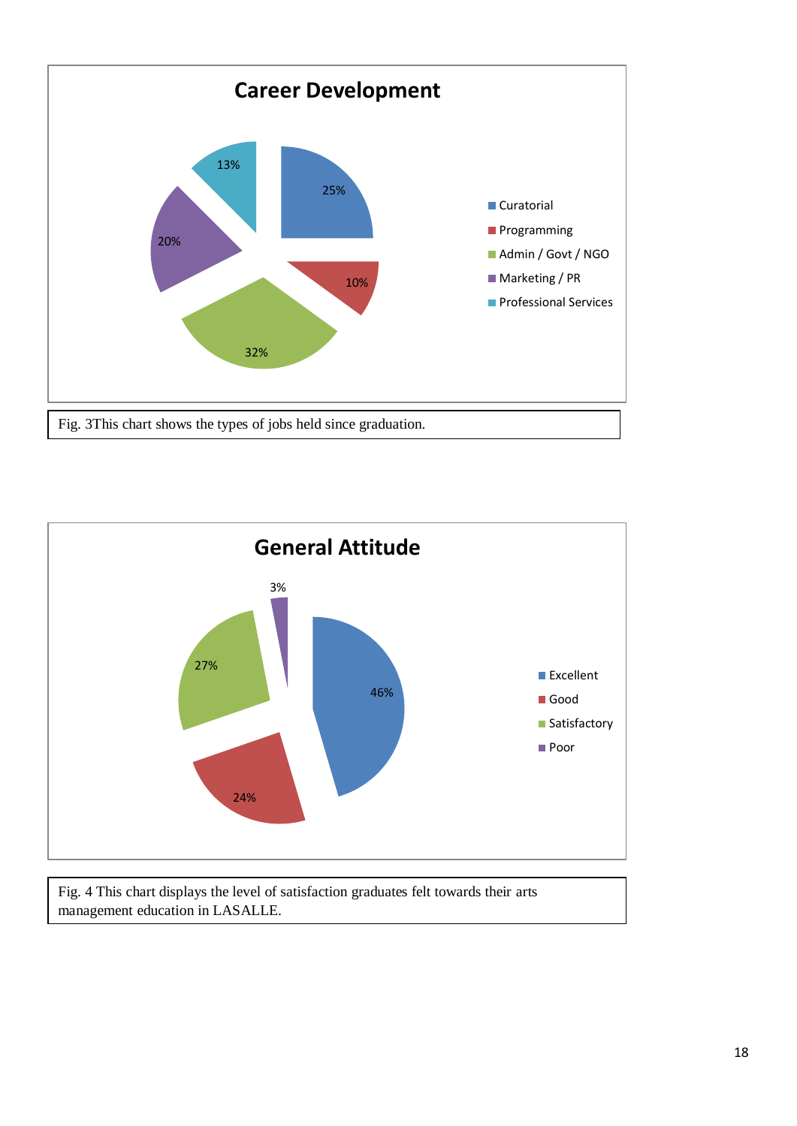



Fig. 4 This chart displays the level of satisfaction graduates felt towards their arts management education in LASALLE.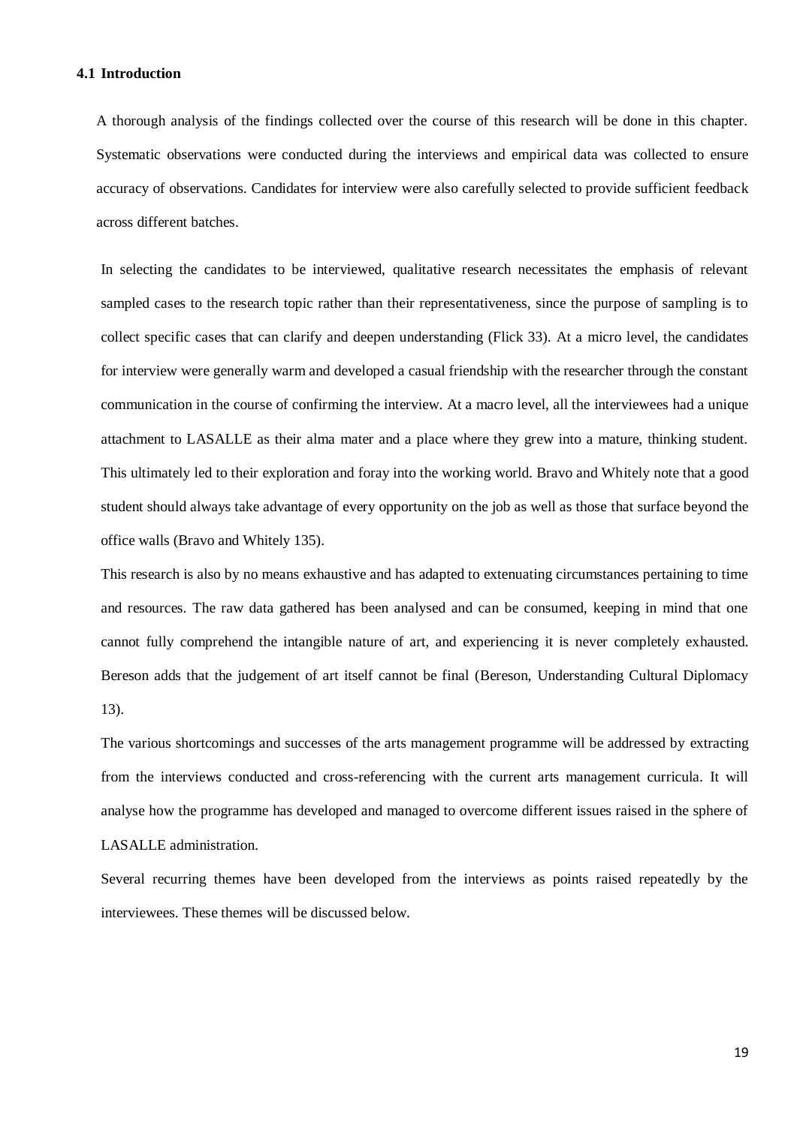#### <span id="page-23-0"></span>**4.1 Introduction**

A thorough analysis of the findings collected over the course of this research will be done in this chapter. Systematic observations were conducted during the interviews and empirical data was collected to ensure accuracy of observations. Candidates for interview were also carefully selected to provide sufficient feedback across different batches.

In selecting the candidates to be interviewed, qualitative research necessitates the emphasis of relevant sampled cases to the research topic rather than their representativeness, since the purpose of sampling is to collect specific cases that can clarify and deepen understanding (Flick 33). At a micro level, the candidates for interview were generally warm and developed a casual friendship with the researcher through the constant communication in the course of confirming the interview. At a macro level, all the interviewees had a unique attachment to LASALLE as their alma mater and a place where they grew into a mature, thinking student. This ultimately led to their exploration and foray into the working world. Bravo and Whitely note that a good student should always take advantage of every opportunity on the job as well as those that surface beyond the office walls (Bravo and Whitely 135).

This research is also by no means exhaustive and has adapted to extenuating circumstances pertaining to time and resources. The raw data gathered has been analysed and can be consumed, keeping in mind that one cannot fully comprehend the intangible nature of art, and experiencing it is never completely exhausted. Bereson adds that the judgement of art itself cannot be final (Bereson, Understanding Cultural Diplomacy 13).

The various shortcomings and successes of the arts management programme will be addressed by extracting from the interviews conducted and cross-referencing with the current arts management curricula. It will analyse how the programme has developed and managed to overcome different issues raised in the sphere of LASALLE administration.

Several recurring themes have been developed from the interviews as points raised repeatedly by the interviewees. These themes will be discussed below.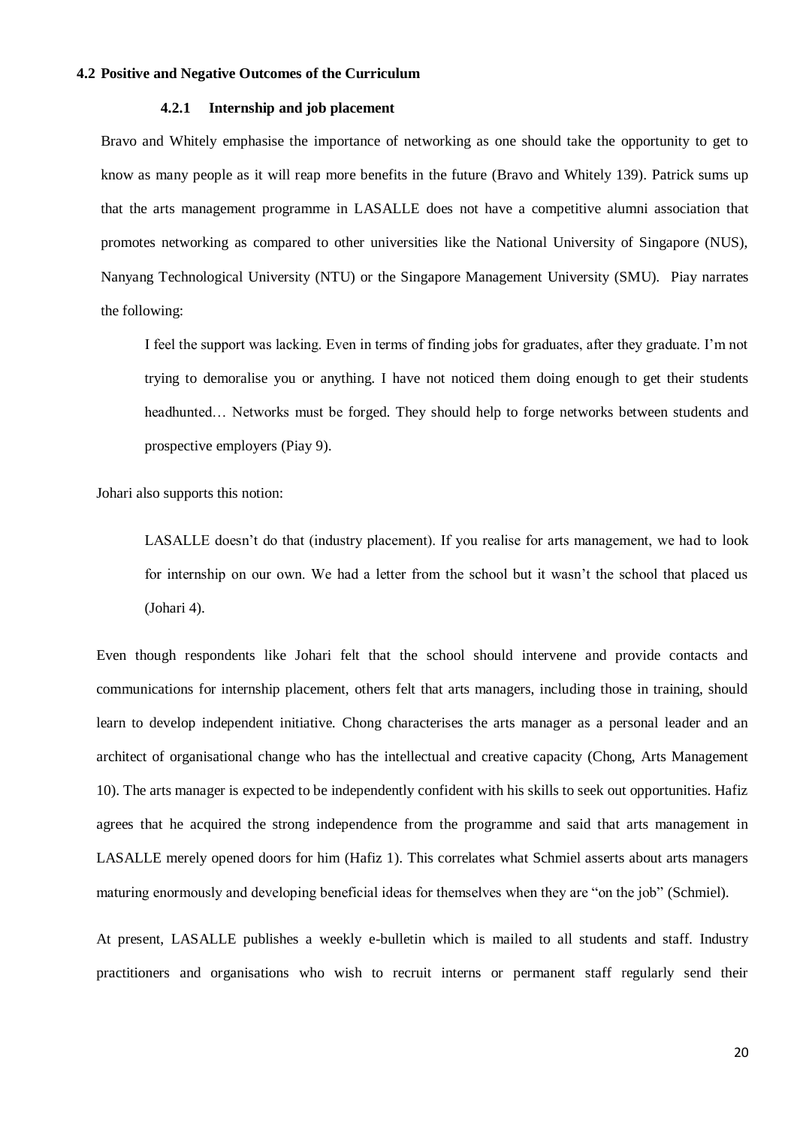#### <span id="page-24-1"></span><span id="page-24-0"></span>**4.2 Positive and Negative Outcomes of the Curriculum**

#### **4.2.1 Internship and job placement**

Bravo and Whitely emphasise the importance of networking as one should take the opportunity to get to know as many people as it will reap more benefits in the future (Bravo and Whitely 139). Patrick sums up that the arts management programme in LASALLE does not have a competitive alumni association that promotes networking as compared to other universities like the National University of Singapore (NUS), Nanyang Technological University (NTU) or the Singapore Management University (SMU). Piay narrates the following:

I feel the support was lacking. Even in terms of finding jobs for graduates, after they graduate. I'm not trying to demoralise you or anything. I have not noticed them doing enough to get their students headhunted… Networks must be forged. They should help to forge networks between students and prospective employers (Piay 9).

Johari also supports this notion:

LASALLE doesn't do that (industry placement). If you realise for arts management, we had to look for internship on our own. We had a letter from the school but it wasn't the school that placed us (Johari 4).

Even though respondents like Johari felt that the school should intervene and provide contacts and communications for internship placement, others felt that arts managers, including those in training, should learn to develop independent initiative. Chong characterises the arts manager as a personal leader and an architect of organisational change who has the intellectual and creative capacity (Chong, Arts Management 10). The arts manager is expected to be independently confident with his skills to seek out opportunities. Hafiz agrees that he acquired the strong independence from the programme and said that arts management in LASALLE merely opened doors for him (Hafiz 1). This correlates what Schmiel asserts about arts managers maturing enormously and developing beneficial ideas for themselves when they are "on the job" (Schmiel).

At present, LASALLE publishes a weekly e-bulletin which is mailed to all students and staff. Industry practitioners and organisations who wish to recruit interns or permanent staff regularly send their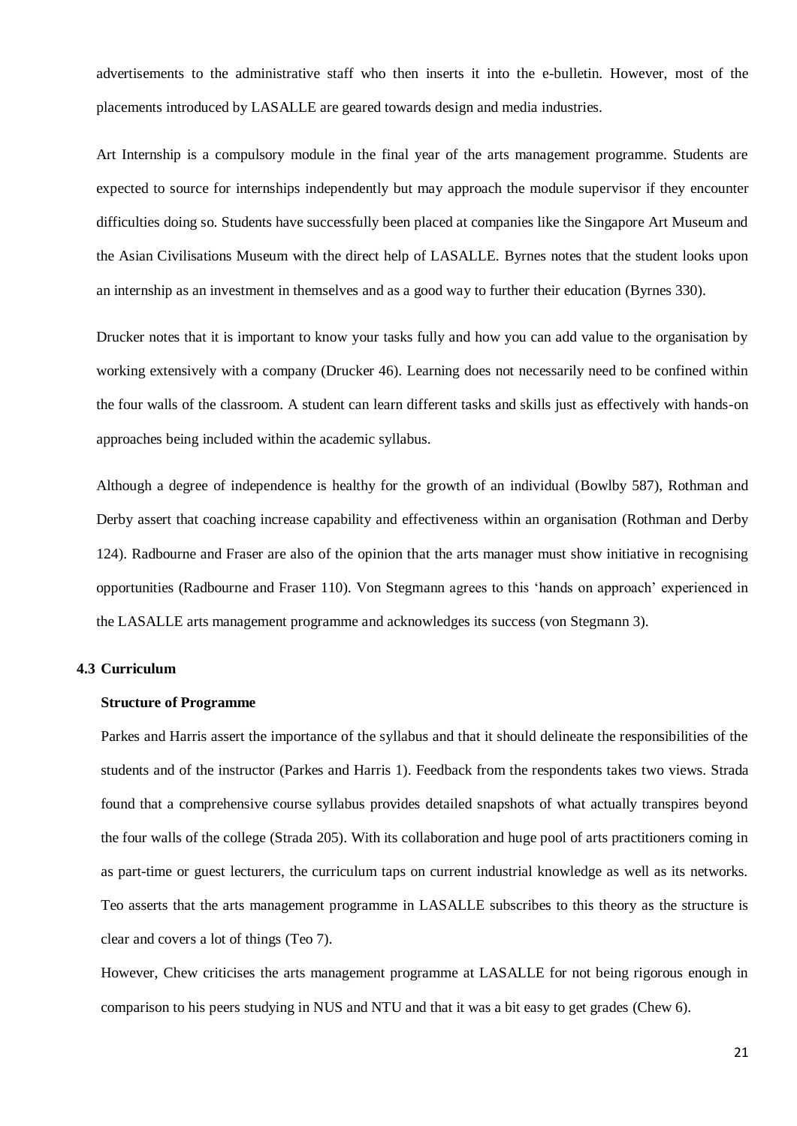advertisements to the administrative staff who then inserts it into the e-bulletin. However, most of the placements introduced by LASALLE are geared towards design and media industries.

Art Internship is a compulsory module in the final year of the arts management programme. Students are expected to source for internships independently but may approach the module supervisor if they encounter difficulties doing so. Students have successfully been placed at companies like the Singapore Art Museum and the Asian Civilisations Museum with the direct help of LASALLE. Byrnes notes that the student looks upon an internship as an investment in themselves and as a good way to further their education (Byrnes 330).

Drucker notes that it is important to know your tasks fully and how you can add value to the organisation by working extensively with a company (Drucker 46). Learning does not necessarily need to be confined within the four walls of the classroom. A student can learn different tasks and skills just as effectively with hands-on approaches being included within the academic syllabus.

Although a degree of independence is healthy for the growth of an individual (Bowlby 587), Rothman and Derby assert that coaching increase capability and effectiveness within an organisation (Rothman and Derby 124). Radbourne and Fraser are also of the opinion that the arts manager must show initiative in recognising opportunities (Radbourne and Fraser 110). Von Stegmann agrees to this 'hands on approach' experienced in the LASALLE arts management programme and acknowledges its success (von Stegmann 3).

## <span id="page-25-1"></span><span id="page-25-0"></span>**4.3 Curriculum**

## **Structure of Programme**

Parkes and Harris assert the importance of the syllabus and that it should delineate the responsibilities of the students and of the instructor (Parkes and Harris 1). Feedback from the respondents takes two views. Strada found that a comprehensive course syllabus provides detailed snapshots of what actually transpires beyond the four walls of the college (Strada 205). With its collaboration and huge pool of arts practitioners coming in as part-time or guest lecturers, the curriculum taps on current industrial knowledge as well as its networks. Teo asserts that the arts management programme in LASALLE subscribes to this theory as the structure is clear and covers a lot of things (Teo 7).

However, Chew criticises the arts management programme at LASALLE for not being rigorous enough in comparison to his peers studying in NUS and NTU and that it was a bit easy to get grades (Chew 6).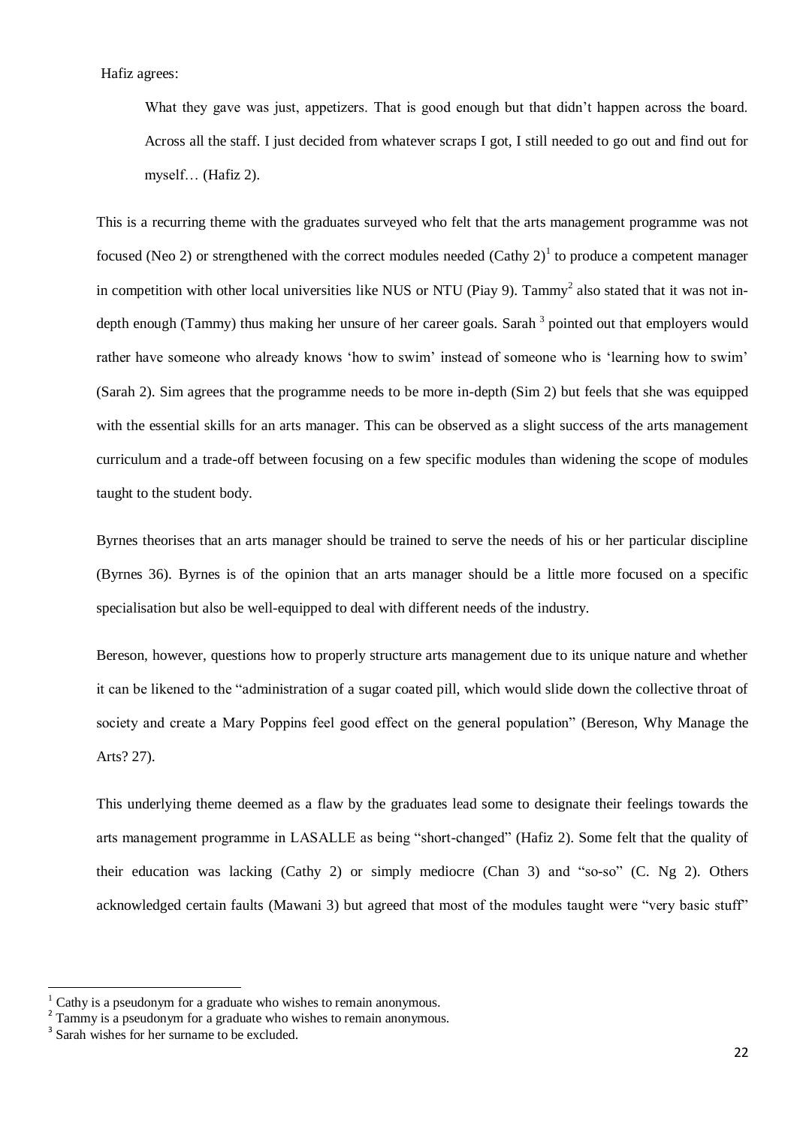Hafiz agrees:

What they gave was just, appetizers. That is good enough but that didn't happen across the board. Across all the staff. I just decided from whatever scraps I got, I still needed to go out and find out for myself… (Hafiz 2).

This is a recurring theme with the graduates surveyed who felt that the arts management programme was not focused (Neo 2) or strengthened with the correct modules needed (Cathy  $2)^{1}$  to produce a competent manager in competition with other local universities like NUS or NTU (Piay 9). Tammy<sup>2</sup> also stated that it was not indepth enough (Tammy) thus making her unsure of her career goals. Sarah <sup>3</sup> pointed out that employers would rather have someone who already knows 'how to swim' instead of someone who is 'learning how to swim' (Sarah 2). Sim agrees that the programme needs to be more in-depth (Sim 2) but feels that she was equipped with the essential skills for an arts manager. This can be observed as a slight success of the arts management curriculum and a trade-off between focusing on a few specific modules than widening the scope of modules taught to the student body.

Byrnes theorises that an arts manager should be trained to serve the needs of his or her particular discipline (Byrnes 36). Byrnes is of the opinion that an arts manager should be a little more focused on a specific specialisation but also be well-equipped to deal with different needs of the industry.

Bereson, however, questions how to properly structure arts management due to its unique nature and whether it can be likened to the "administration of a sugar coated pill, which would slide down the collective throat of society and create a Mary Poppins feel good effect on the general population" (Bereson, Why Manage the Arts? 27).

This underlying theme deemed as a flaw by the graduates lead some to designate their feelings towards the arts management programme in LASALLE as being "short-changed" (Hafiz 2). Some felt that the quality of their education was lacking (Cathy 2) or simply mediocre (Chan 3) and "so-so" (C. Ng 2). Others acknowledged certain faults (Mawani 3) but agreed that most of the modules taught were "very basic stuff"

**.** 

Cathy is a pseudonym for a graduate who wishes to remain anonymous.

<sup>&</sup>lt;sup>2</sup> Tammy is a pseudonym for a graduate who wishes to remain anonymous.

<sup>&</sup>lt;sup>3</sup> Sarah wishes for her surname to be excluded.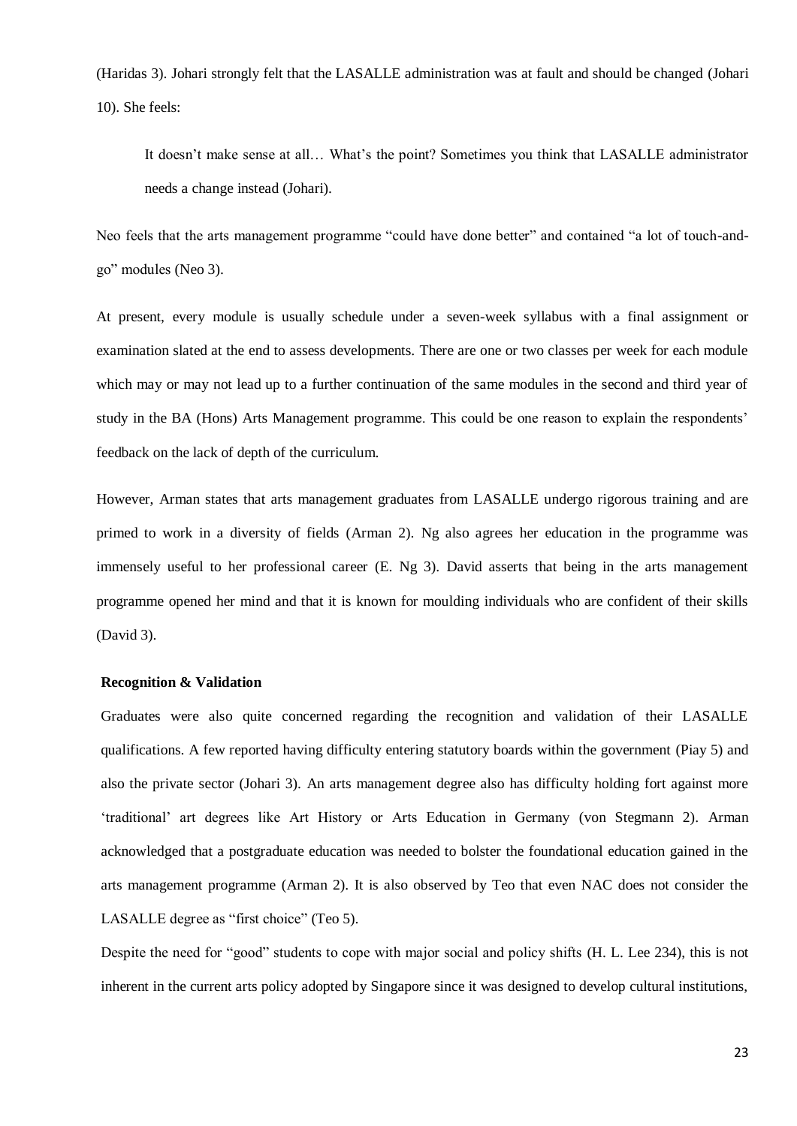(Haridas 3). Johari strongly felt that the LASALLE administration was at fault and should be changed (Johari 10). She feels:

It doesn't make sense at all… What's the point? Sometimes you think that LASALLE administrator needs a change instead (Johari).

Neo feels that the arts management programme "could have done better" and contained "a lot of touch-andgo" modules (Neo 3).

At present, every module is usually schedule under a seven-week syllabus with a final assignment or examination slated at the end to assess developments. There are one or two classes per week for each module which may or may not lead up to a further continuation of the same modules in the second and third year of study in the BA (Hons) Arts Management programme. This could be one reason to explain the respondents' feedback on the lack of depth of the curriculum.

However, Arman states that arts management graduates from LASALLE undergo rigorous training and are primed to work in a diversity of fields (Arman 2). Ng also agrees her education in the programme was immensely useful to her professional career (E. Ng 3). David asserts that being in the arts management programme opened her mind and that it is known for moulding individuals who are confident of their skills (David 3).

### <span id="page-27-0"></span>**Recognition & Validation**

Graduates were also quite concerned regarding the recognition and validation of their LASALLE qualifications. A few reported having difficulty entering statutory boards within the government (Piay 5) and also the private sector (Johari 3). An arts management degree also has difficulty holding fort against more 'traditional' art degrees like Art History or Arts Education in Germany (von Stegmann 2). Arman acknowledged that a postgraduate education was needed to bolster the foundational education gained in the arts management programme (Arman 2). It is also observed by Teo that even NAC does not consider the LASALLE degree as "first choice" (Teo 5).

Despite the need for "good" students to cope with major social and policy shifts (H. L. Lee 234), this is not inherent in the current arts policy adopted by Singapore since it was designed to develop cultural institutions,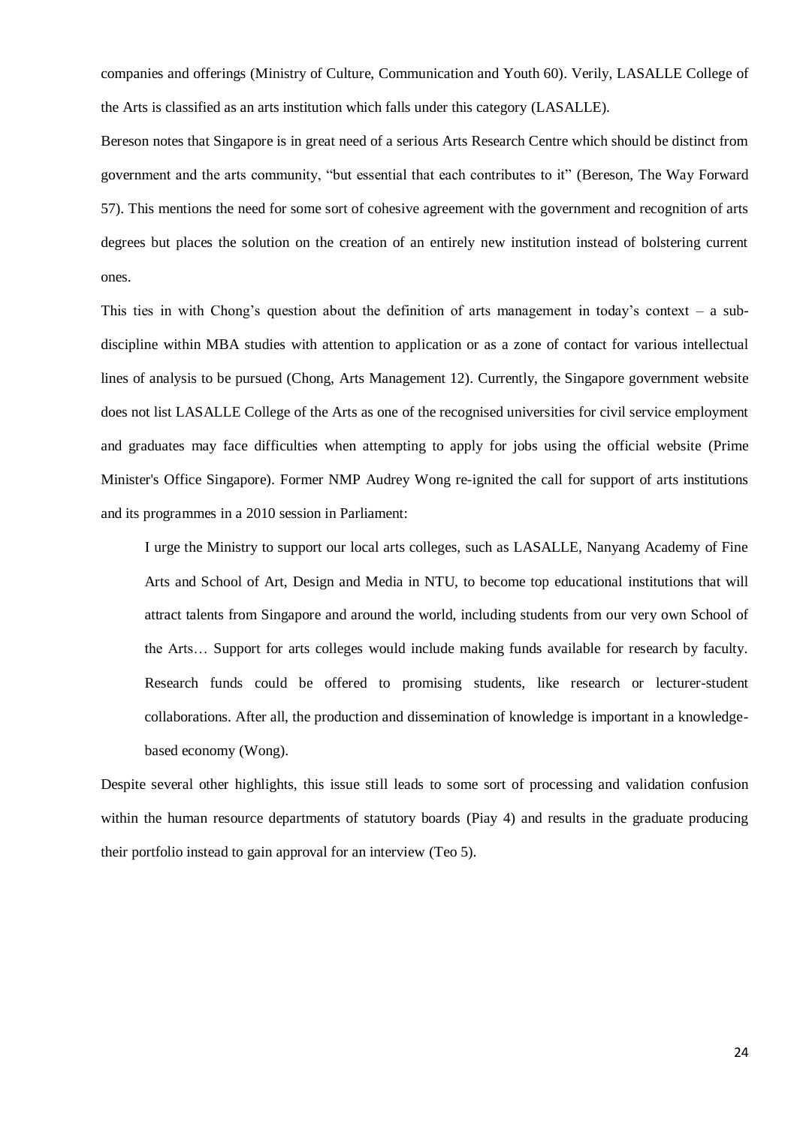companies and offerings (Ministry of Culture, Communication and Youth 60). Verily, LASALLE College of the Arts is classified as an arts institution which falls under this category (LASALLE).

Bereson notes that Singapore is in great need of a serious Arts Research Centre which should be distinct from government and the arts community, "but essential that each contributes to it" (Bereson, The Way Forward 57). This mentions the need for some sort of cohesive agreement with the government and recognition of arts degrees but places the solution on the creation of an entirely new institution instead of bolstering current ones.

This ties in with Chong's question about the definition of arts management in today's context – a subdiscipline within MBA studies with attention to application or as a zone of contact for various intellectual lines of analysis to be pursued (Chong, Arts Management 12). Currently, the Singapore government website does not list LASALLE College of the Arts as one of the recognised universities for civil service employment and graduates may face difficulties when attempting to apply for jobs using the official website (Prime Minister's Office Singapore). Former NMP Audrey Wong re-ignited the call for support of arts institutions and its programmes in a 2010 session in Parliament:

I urge the Ministry to support our local arts colleges, such as LASALLE, Nanyang Academy of Fine Arts and School of Art, Design and Media in NTU, to become top educational institutions that will attract talents from Singapore and around the world, including students from our very own School of the Arts… Support for arts colleges would include making funds available for research by faculty. Research funds could be offered to promising students, like research or lecturer-student collaborations. After all, the production and dissemination of knowledge is important in a knowledgebased economy (Wong).

Despite several other highlights, this issue still leads to some sort of processing and validation confusion within the human resource departments of statutory boards (Piay 4) and results in the graduate producing their portfolio instead to gain approval for an interview (Teo 5).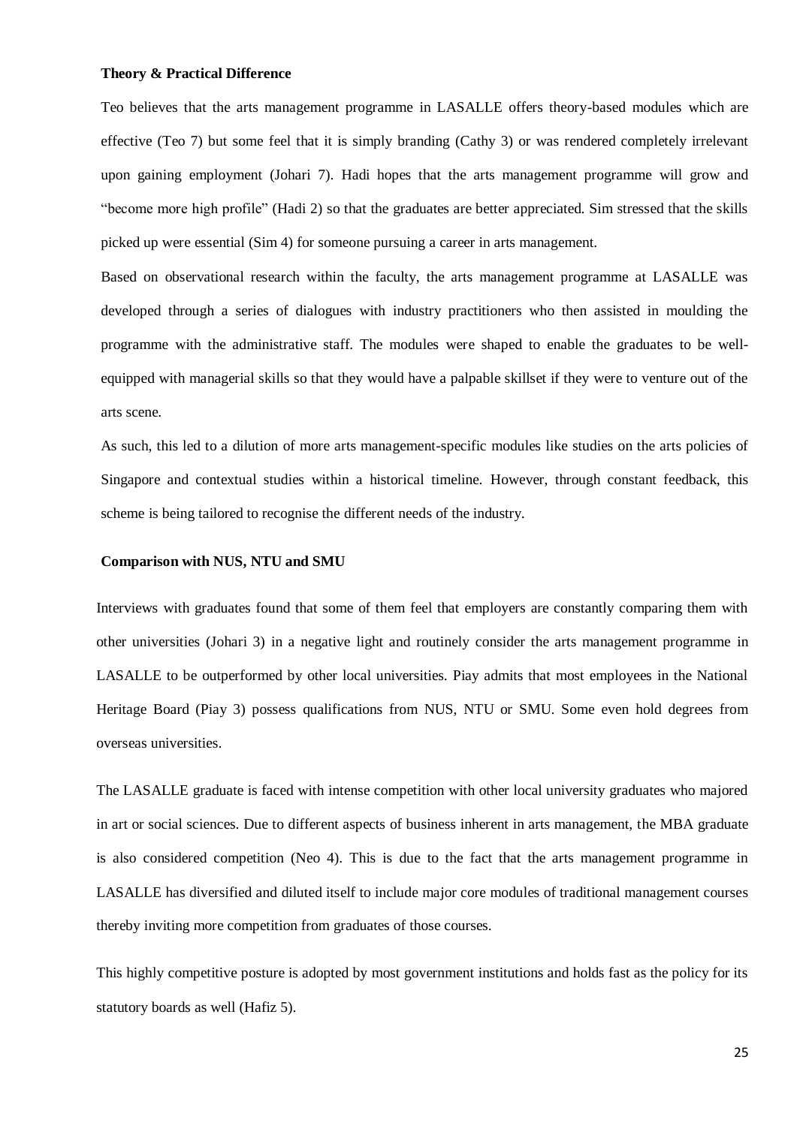#### <span id="page-29-0"></span>**Theory & Practical Difference**

Teo believes that the arts management programme in LASALLE offers theory-based modules which are effective (Teo 7) but some feel that it is simply branding (Cathy 3) or was rendered completely irrelevant upon gaining employment (Johari 7). Hadi hopes that the arts management programme will grow and "become more high profile" (Hadi 2) so that the graduates are better appreciated. Sim stressed that the skills picked up were essential (Sim 4) for someone pursuing a career in arts management.

Based on observational research within the faculty, the arts management programme at LASALLE was developed through a series of dialogues with industry practitioners who then assisted in moulding the programme with the administrative staff. The modules were shaped to enable the graduates to be wellequipped with managerial skills so that they would have a palpable skillset if they were to venture out of the arts scene.

As such, this led to a dilution of more arts management-specific modules like studies on the arts policies of Singapore and contextual studies within a historical timeline. However, through constant feedback, this scheme is being tailored to recognise the different needs of the industry.

#### <span id="page-29-1"></span>**Comparison with NUS, NTU and SMU**

Interviews with graduates found that some of them feel that employers are constantly comparing them with other universities (Johari 3) in a negative light and routinely consider the arts management programme in LASALLE to be outperformed by other local universities. Piay admits that most employees in the National Heritage Board (Piay 3) possess qualifications from NUS, NTU or SMU. Some even hold degrees from overseas universities.

The LASALLE graduate is faced with intense competition with other local university graduates who majored in art or social sciences. Due to different aspects of business inherent in arts management, the MBA graduate is also considered competition (Neo 4). This is due to the fact that the arts management programme in LASALLE has diversified and diluted itself to include major core modules of traditional management courses thereby inviting more competition from graduates of those courses.

This highly competitive posture is adopted by most government institutions and holds fast as the policy for its statutory boards as well (Hafiz 5).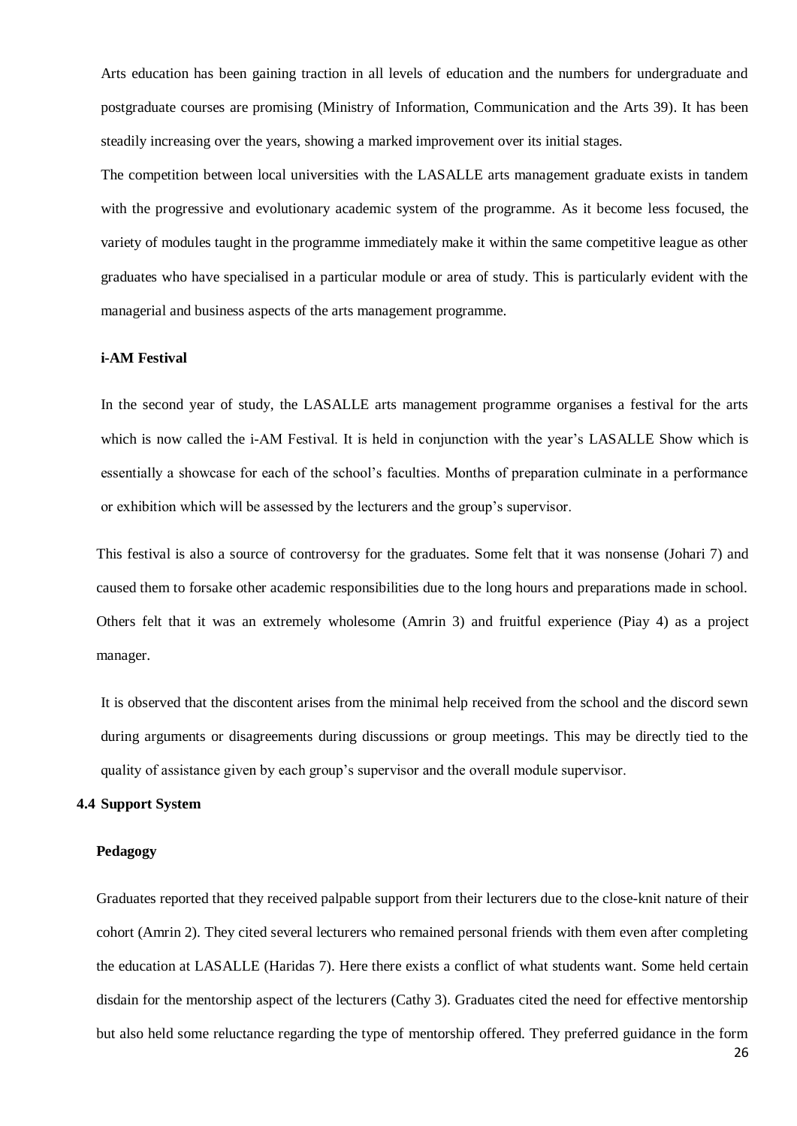Arts education has been gaining traction in all levels of education and the numbers for undergraduate and postgraduate courses are promising (Ministry of Information, Communication and the Arts 39). It has been steadily increasing over the years, showing a marked improvement over its initial stages.

The competition between local universities with the LASALLE arts management graduate exists in tandem with the progressive and evolutionary academic system of the programme. As it become less focused, the variety of modules taught in the programme immediately make it within the same competitive league as other graduates who have specialised in a particular module or area of study. This is particularly evident with the managerial and business aspects of the arts management programme.

## <span id="page-30-0"></span>**i-AM Festival**

In the second year of study, the LASALLE arts management programme organises a festival for the arts which is now called the *i*-AM Festival. It is held in conjunction with the year's LASALLE Show which is essentially a showcase for each of the school's faculties. Months of preparation culminate in a performance or exhibition which will be assessed by the lecturers and the group's supervisor.

This festival is also a source of controversy for the graduates. Some felt that it was nonsense (Johari 7) and caused them to forsake other academic responsibilities due to the long hours and preparations made in school. Others felt that it was an extremely wholesome (Amrin 3) and fruitful experience (Piay 4) as a project manager.

It is observed that the discontent arises from the minimal help received from the school and the discord sewn during arguments or disagreements during discussions or group meetings. This may be directly tied to the quality of assistance given by each group's supervisor and the overall module supervisor.

#### <span id="page-30-1"></span>**4.4 Support System**

#### <span id="page-30-2"></span>**Pedagogy**

Graduates reported that they received palpable support from their lecturers due to the close-knit nature of their cohort (Amrin 2). They cited several lecturers who remained personal friends with them even after completing the education at LASALLE (Haridas 7). Here there exists a conflict of what students want. Some held certain disdain for the mentorship aspect of the lecturers (Cathy 3). Graduates cited the need for effective mentorship but also held some reluctance regarding the type of mentorship offered. They preferred guidance in the form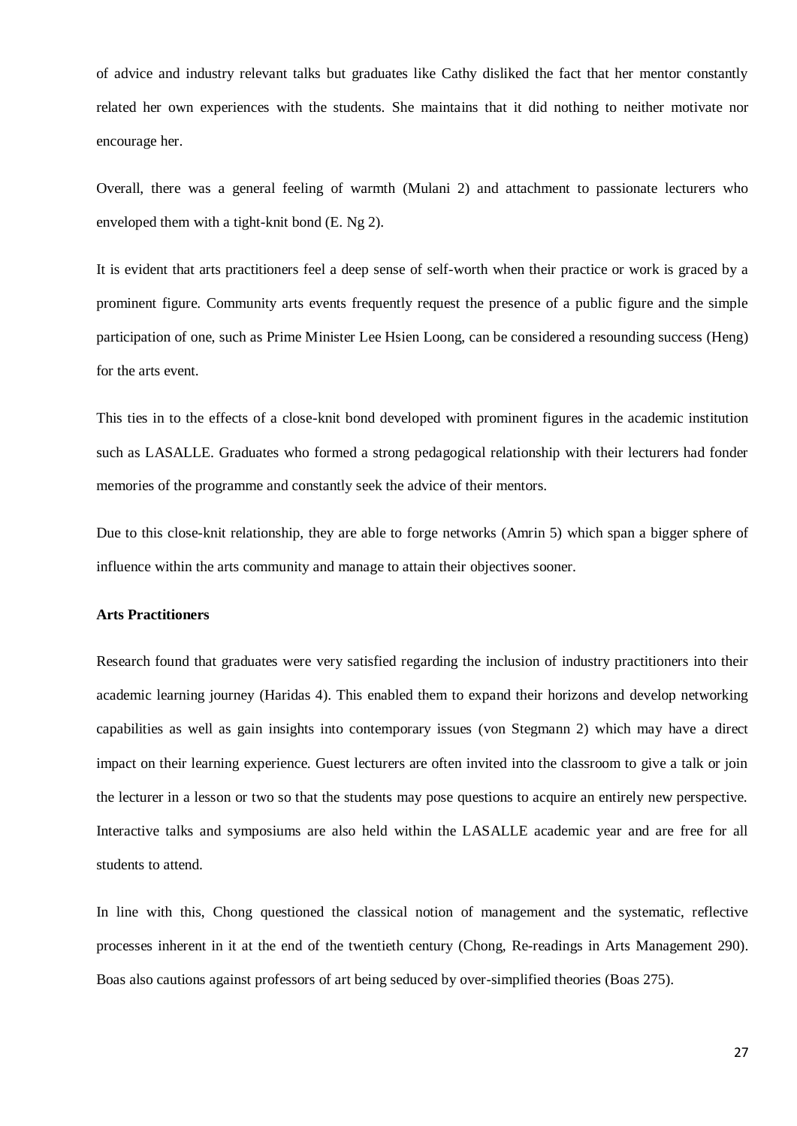of advice and industry relevant talks but graduates like Cathy disliked the fact that her mentor constantly related her own experiences with the students. She maintains that it did nothing to neither motivate nor encourage her.

Overall, there was a general feeling of warmth (Mulani 2) and attachment to passionate lecturers who enveloped them with a tight-knit bond (E. Ng 2).

It is evident that arts practitioners feel a deep sense of self-worth when their practice or work is graced by a prominent figure. Community arts events frequently request the presence of a public figure and the simple participation of one, such as Prime Minister Lee Hsien Loong, can be considered a resounding success (Heng) for the arts event.

This ties in to the effects of a close-knit bond developed with prominent figures in the academic institution such as LASALLE. Graduates who formed a strong pedagogical relationship with their lecturers had fonder memories of the programme and constantly seek the advice of their mentors.

Due to this close-knit relationship, they are able to forge networks (Amrin 5) which span a bigger sphere of influence within the arts community and manage to attain their objectives sooner.

#### <span id="page-31-0"></span>**Arts Practitioners**

Research found that graduates were very satisfied regarding the inclusion of industry practitioners into their academic learning journey (Haridas 4). This enabled them to expand their horizons and develop networking capabilities as well as gain insights into contemporary issues (von Stegmann 2) which may have a direct impact on their learning experience. Guest lecturers are often invited into the classroom to give a talk or join the lecturer in a lesson or two so that the students may pose questions to acquire an entirely new perspective. Interactive talks and symposiums are also held within the LASALLE academic year and are free for all students to attend.

In line with this, Chong questioned the classical notion of management and the systematic, reflective processes inherent in it at the end of the twentieth century (Chong, Re-readings in Arts Management 290). Boas also cautions against professors of art being seduced by over-simplified theories (Boas 275).

27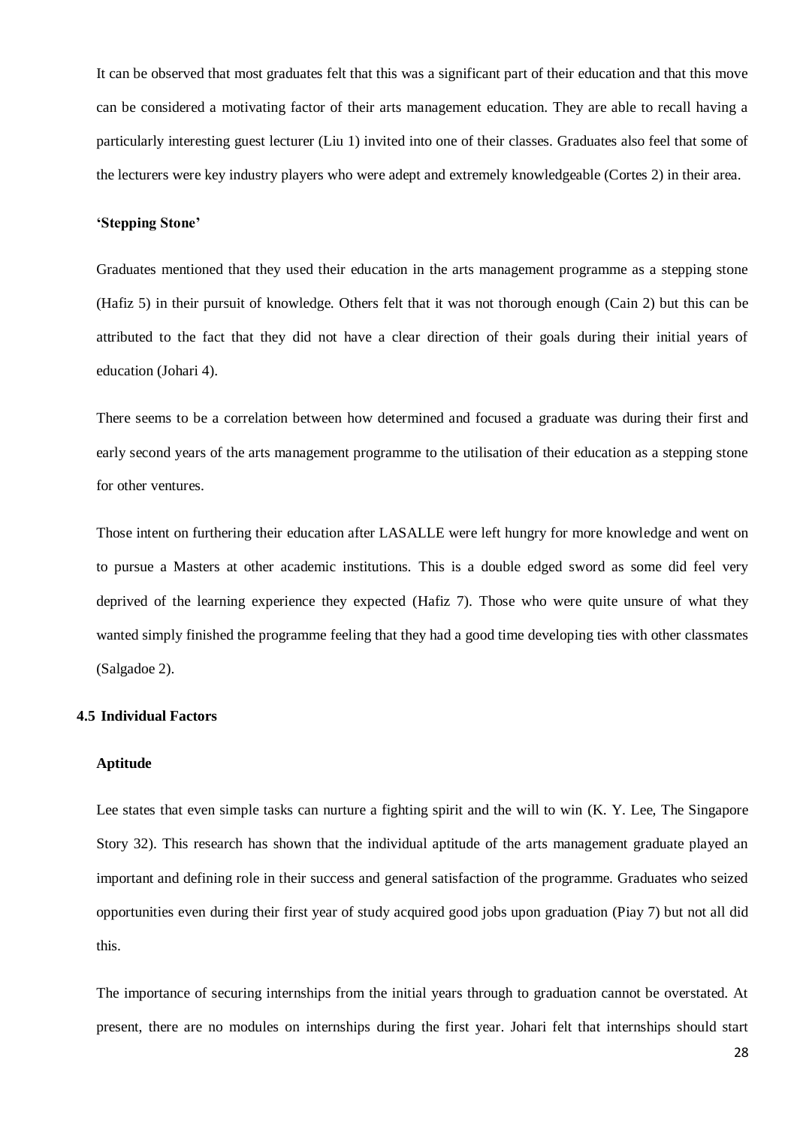It can be observed that most graduates felt that this was a significant part of their education and that this move can be considered a motivating factor of their arts management education. They are able to recall having a particularly interesting guest lecturer (Liu 1) invited into one of their classes. Graduates also feel that some of the lecturers were key industry players who were adept and extremely knowledgeable (Cortes 2) in their area.

#### <span id="page-32-0"></span>**'Stepping Stone'**

Graduates mentioned that they used their education in the arts management programme as a stepping stone (Hafiz 5) in their pursuit of knowledge. Others felt that it was not thorough enough (Cain 2) but this can be attributed to the fact that they did not have a clear direction of their goals during their initial years of education (Johari 4).

There seems to be a correlation between how determined and focused a graduate was during their first and early second years of the arts management programme to the utilisation of their education as a stepping stone for other ventures.

Those intent on furthering their education after LASALLE were left hungry for more knowledge and went on to pursue a Masters at other academic institutions. This is a double edged sword as some did feel very deprived of the learning experience they expected (Hafiz 7). Those who were quite unsure of what they wanted simply finished the programme feeling that they had a good time developing ties with other classmates (Salgadoe 2).

#### <span id="page-32-1"></span>**4.5 Individual Factors**

## <span id="page-32-2"></span>**Aptitude**

Lee states that even simple tasks can nurture a fighting spirit and the will to win (K. Y. Lee, The Singapore Story 32). This research has shown that the individual aptitude of the arts management graduate played an important and defining role in their success and general satisfaction of the programme. Graduates who seized opportunities even during their first year of study acquired good jobs upon graduation (Piay 7) but not all did this.

The importance of securing internships from the initial years through to graduation cannot be overstated. At present, there are no modules on internships during the first year. Johari felt that internships should start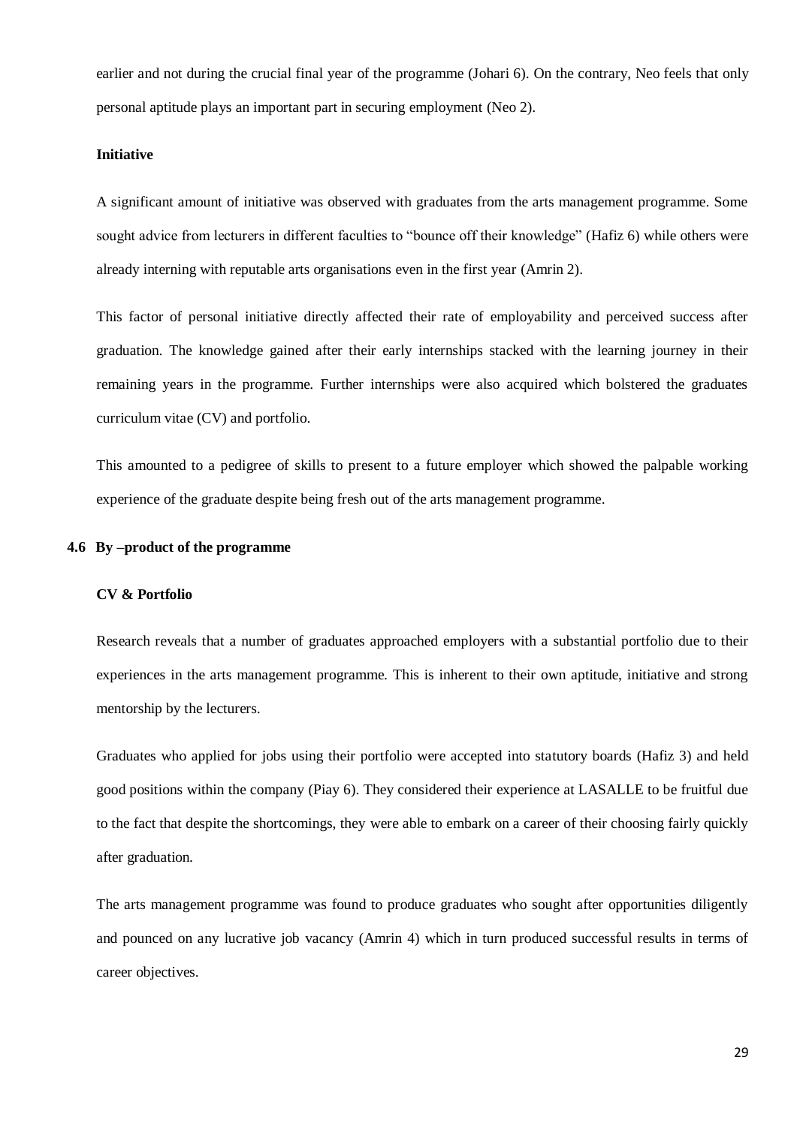earlier and not during the crucial final year of the programme (Johari 6). On the contrary, Neo feels that only personal aptitude plays an important part in securing employment (Neo 2).

## <span id="page-33-0"></span>**Initiative**

A significant amount of initiative was observed with graduates from the arts management programme. Some sought advice from lecturers in different faculties to "bounce off their knowledge" (Hafiz 6) while others were already interning with reputable arts organisations even in the first year (Amrin 2).

This factor of personal initiative directly affected their rate of employability and perceived success after graduation. The knowledge gained after their early internships stacked with the learning journey in their remaining years in the programme. Further internships were also acquired which bolstered the graduates curriculum vitae (CV) and portfolio.

This amounted to a pedigree of skills to present to a future employer which showed the palpable working experience of the graduate despite being fresh out of the arts management programme.

#### <span id="page-33-1"></span>**4.6 By –product of the programme**

#### **CV & Portfolio**

Research reveals that a number of graduates approached employers with a substantial portfolio due to their experiences in the arts management programme. This is inherent to their own aptitude, initiative and strong mentorship by the lecturers.

Graduates who applied for jobs using their portfolio were accepted into statutory boards (Hafiz 3) and held good positions within the company (Piay 6). They considered their experience at LASALLE to be fruitful due to the fact that despite the shortcomings, they were able to embark on a career of their choosing fairly quickly after graduation.

The arts management programme was found to produce graduates who sought after opportunities diligently and pounced on any lucrative job vacancy (Amrin 4) which in turn produced successful results in terms of career objectives.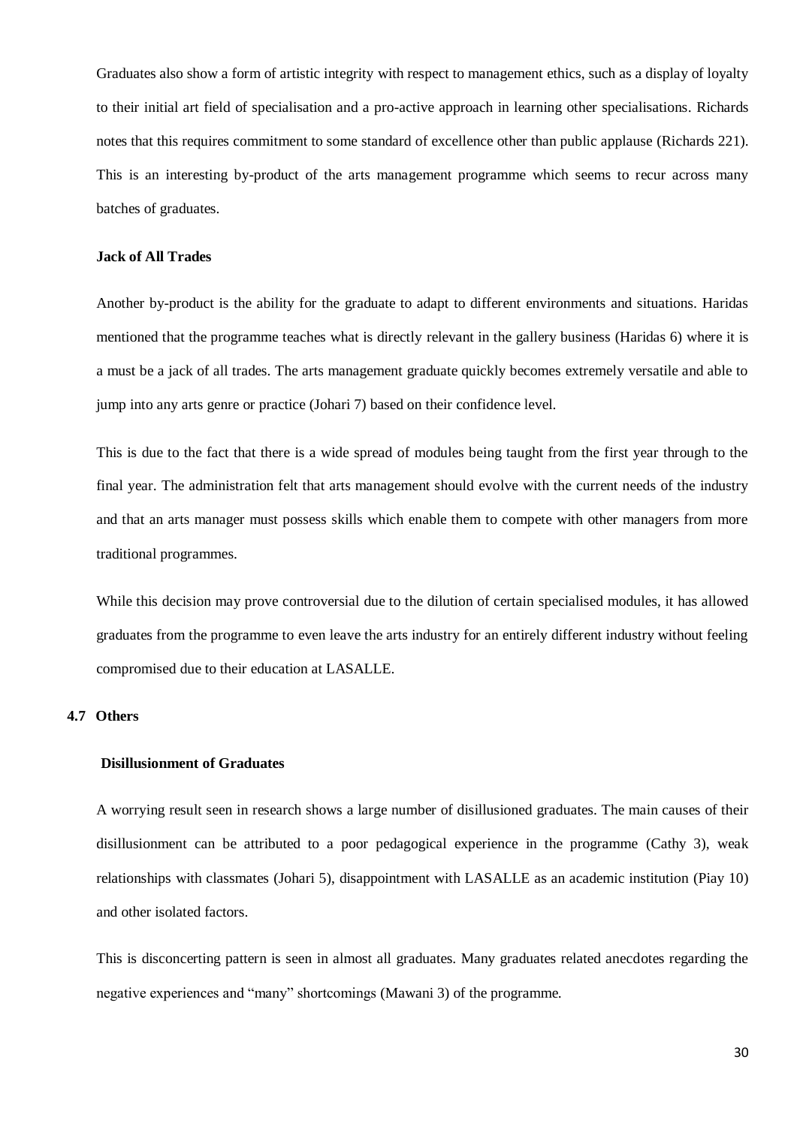Graduates also show a form of artistic integrity with respect to management ethics, such as a display of loyalty to their initial art field of specialisation and a pro-active approach in learning other specialisations. Richards notes that this requires commitment to some standard of excellence other than public applause (Richards 221). This is an interesting by-product of the arts management programme which seems to recur across many batches of graduates.

## <span id="page-34-0"></span>**Jack of All Trades**

Another by-product is the ability for the graduate to adapt to different environments and situations. Haridas mentioned that the programme teaches what is directly relevant in the gallery business (Haridas 6) where it is a must be a jack of all trades. The arts management graduate quickly becomes extremely versatile and able to jump into any arts genre or practice (Johari 7) based on their confidence level.

This is due to the fact that there is a wide spread of modules being taught from the first year through to the final year. The administration felt that arts management should evolve with the current needs of the industry and that an arts manager must possess skills which enable them to compete with other managers from more traditional programmes.

While this decision may prove controversial due to the dilution of certain specialised modules, it has allowed graduates from the programme to even leave the arts industry for an entirely different industry without feeling compromised due to their education at LASALLE.

#### <span id="page-34-1"></span>**4.7 Others**

## **Disillusionment of Graduates**

A worrying result seen in research shows a large number of disillusioned graduates. The main causes of their disillusionment can be attributed to a poor pedagogical experience in the programme (Cathy 3), weak relationships with classmates (Johari 5), disappointment with LASALLE as an academic institution (Piay 10) and other isolated factors.

This is disconcerting pattern is seen in almost all graduates. Many graduates related anecdotes regarding the negative experiences and "many" shortcomings (Mawani 3) of the programme.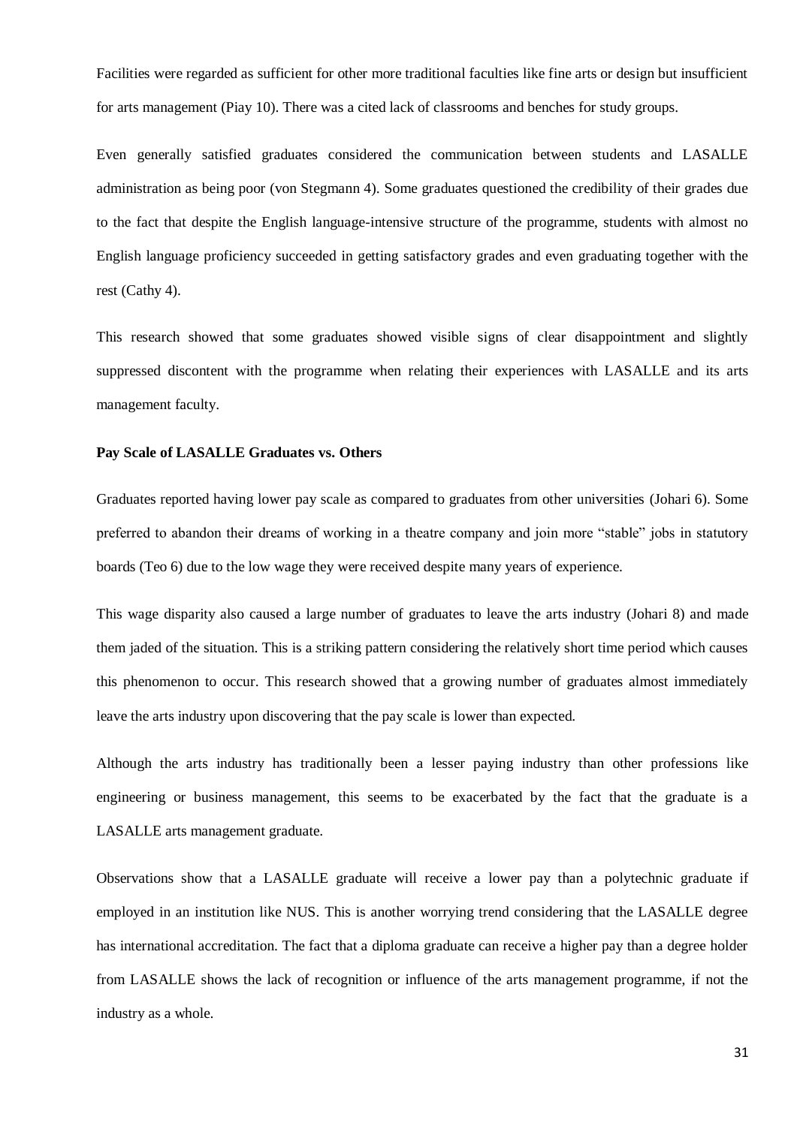Facilities were regarded as sufficient for other more traditional faculties like fine arts or design but insufficient for arts management (Piay 10). There was a cited lack of classrooms and benches for study groups.

Even generally satisfied graduates considered the communication between students and LASALLE administration as being poor (von Stegmann 4). Some graduates questioned the credibility of their grades due to the fact that despite the English language-intensive structure of the programme, students with almost no English language proficiency succeeded in getting satisfactory grades and even graduating together with the rest (Cathy 4).

This research showed that some graduates showed visible signs of clear disappointment and slightly suppressed discontent with the programme when relating their experiences with LASALLE and its arts management faculty.

# <span id="page-35-0"></span>**Pay Scale of LASALLE Graduates vs. Others**

Graduates reported having lower pay scale as compared to graduates from other universities (Johari 6). Some preferred to abandon their dreams of working in a theatre company and join more "stable" jobs in statutory boards (Teo 6) due to the low wage they were received despite many years of experience.

This wage disparity also caused a large number of graduates to leave the arts industry (Johari 8) and made them jaded of the situation. This is a striking pattern considering the relatively short time period which causes this phenomenon to occur. This research showed that a growing number of graduates almost immediately leave the arts industry upon discovering that the pay scale is lower than expected.

Although the arts industry has traditionally been a lesser paying industry than other professions like engineering or business management, this seems to be exacerbated by the fact that the graduate is a LASALLE arts management graduate.

Observations show that a LASALLE graduate will receive a lower pay than a polytechnic graduate if employed in an institution like NUS. This is another worrying trend considering that the LASALLE degree has international accreditation. The fact that a diploma graduate can receive a higher pay than a degree holder from LASALLE shows the lack of recognition or influence of the arts management programme, if not the industry as a whole.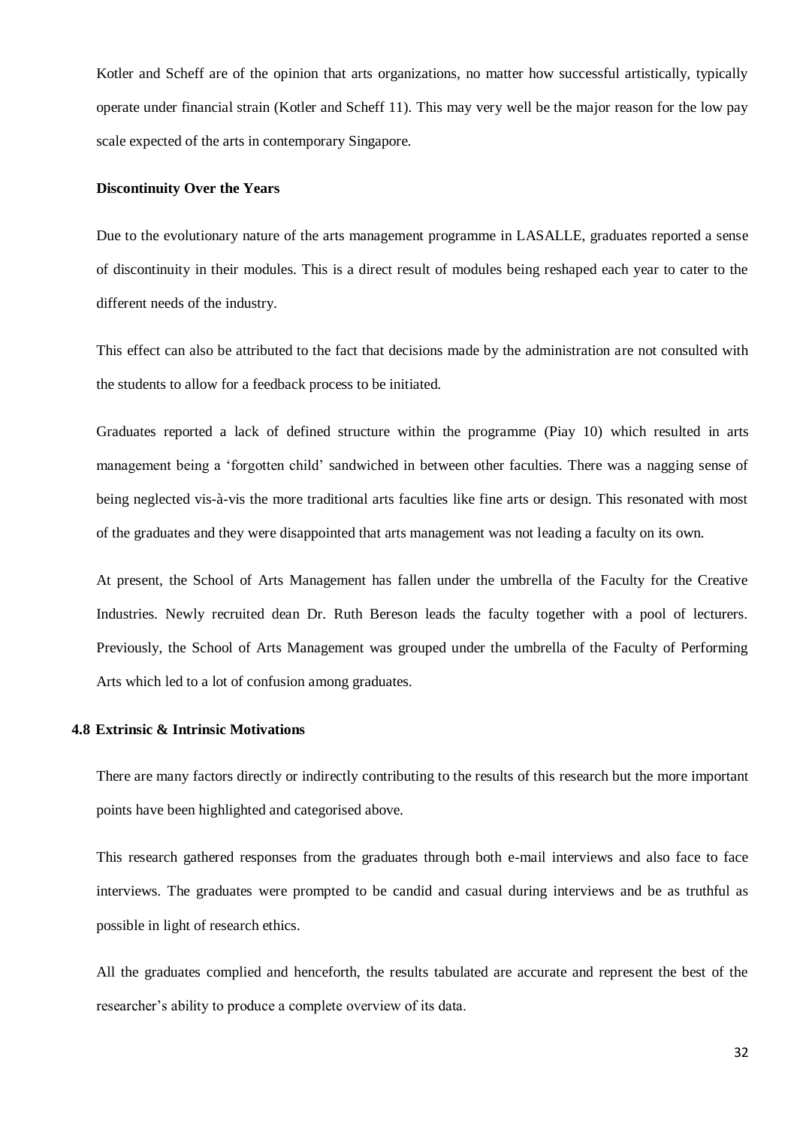Kotler and Scheff are of the opinion that arts organizations, no matter how successful artistically, typically operate under financial strain (Kotler and Scheff 11). This may very well be the major reason for the low pay scale expected of the arts in contemporary Singapore.

## <span id="page-36-0"></span>**Discontinuity Over the Years**

Due to the evolutionary nature of the arts management programme in LASALLE, graduates reported a sense of discontinuity in their modules. This is a direct result of modules being reshaped each year to cater to the different needs of the industry.

This effect can also be attributed to the fact that decisions made by the administration are not consulted with the students to allow for a feedback process to be initiated.

Graduates reported a lack of defined structure within the programme (Piay 10) which resulted in arts management being a 'forgotten child' sandwiched in between other faculties. There was a nagging sense of being neglected vis-à-vis the more traditional arts faculties like fine arts or design. This resonated with most of the graduates and they were disappointed that arts management was not leading a faculty on its own.

At present, the School of Arts Management has fallen under the umbrella of the Faculty for the Creative Industries. Newly recruited dean Dr. Ruth Bereson leads the faculty together with a pool of lecturers. Previously, the School of Arts Management was grouped under the umbrella of the Faculty of Performing Arts which led to a lot of confusion among graduates.

## <span id="page-36-1"></span>**4.8 Extrinsic & Intrinsic Motivations**

There are many factors directly or indirectly contributing to the results of this research but the more important points have been highlighted and categorised above.

This research gathered responses from the graduates through both e-mail interviews and also face to face interviews. The graduates were prompted to be candid and casual during interviews and be as truthful as possible in light of research ethics.

All the graduates complied and henceforth, the results tabulated are accurate and represent the best of the researcher's ability to produce a complete overview of its data.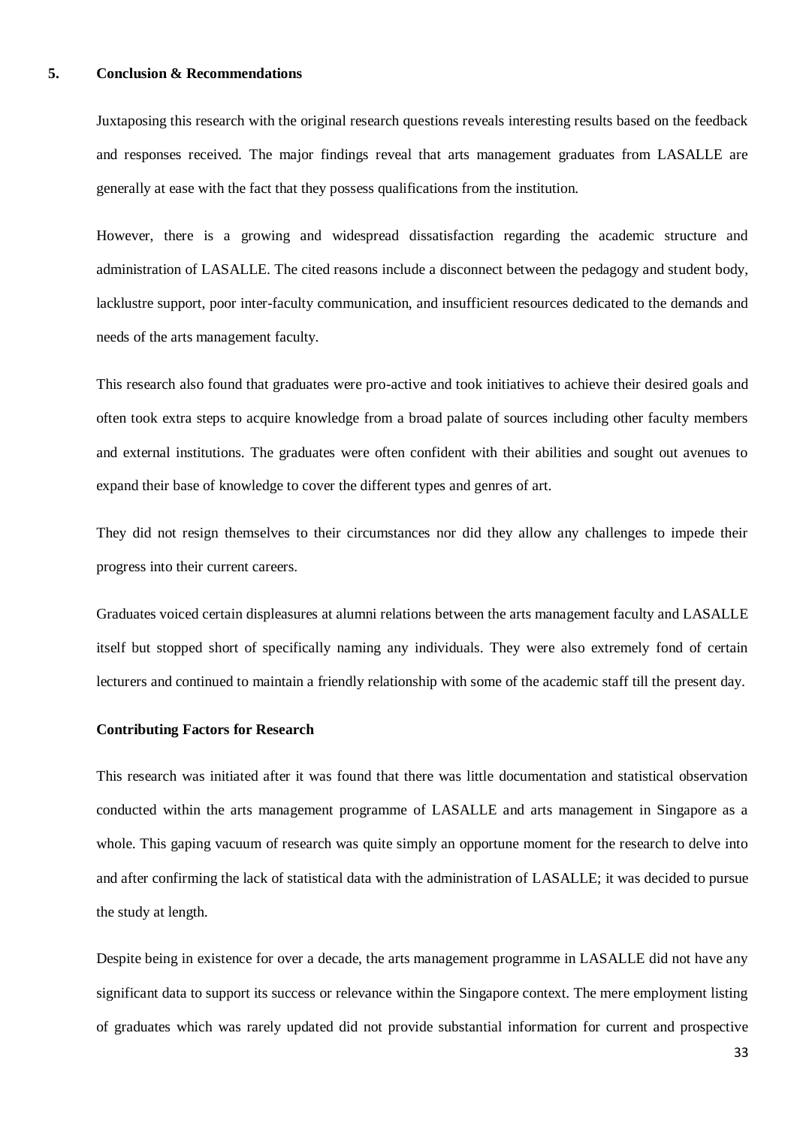## <span id="page-37-0"></span>**5. Conclusion & Recommendations**

Juxtaposing this research with the original research questions reveals interesting results based on the feedback and responses received. The major findings reveal that arts management graduates from LASALLE are generally at ease with the fact that they possess qualifications from the institution.

However, there is a growing and widespread dissatisfaction regarding the academic structure and administration of LASALLE. The cited reasons include a disconnect between the pedagogy and student body, lacklustre support, poor inter-faculty communication, and insufficient resources dedicated to the demands and needs of the arts management faculty.

This research also found that graduates were pro-active and took initiatives to achieve their desired goals and often took extra steps to acquire knowledge from a broad palate of sources including other faculty members and external institutions. The graduates were often confident with their abilities and sought out avenues to expand their base of knowledge to cover the different types and genres of art.

They did not resign themselves to their circumstances nor did they allow any challenges to impede their progress into their current careers.

Graduates voiced certain displeasures at alumni relations between the arts management faculty and LASALLE itself but stopped short of specifically naming any individuals. They were also extremely fond of certain lecturers and continued to maintain a friendly relationship with some of the academic staff till the present day.

## <span id="page-37-1"></span>**Contributing Factors for Research**

This research was initiated after it was found that there was little documentation and statistical observation conducted within the arts management programme of LASALLE and arts management in Singapore as a whole. This gaping vacuum of research was quite simply an opportune moment for the research to delve into and after confirming the lack of statistical data with the administration of LASALLE; it was decided to pursue the study at length.

Despite being in existence for over a decade, the arts management programme in LASALLE did not have any significant data to support its success or relevance within the Singapore context. The mere employment listing of graduates which was rarely updated did not provide substantial information for current and prospective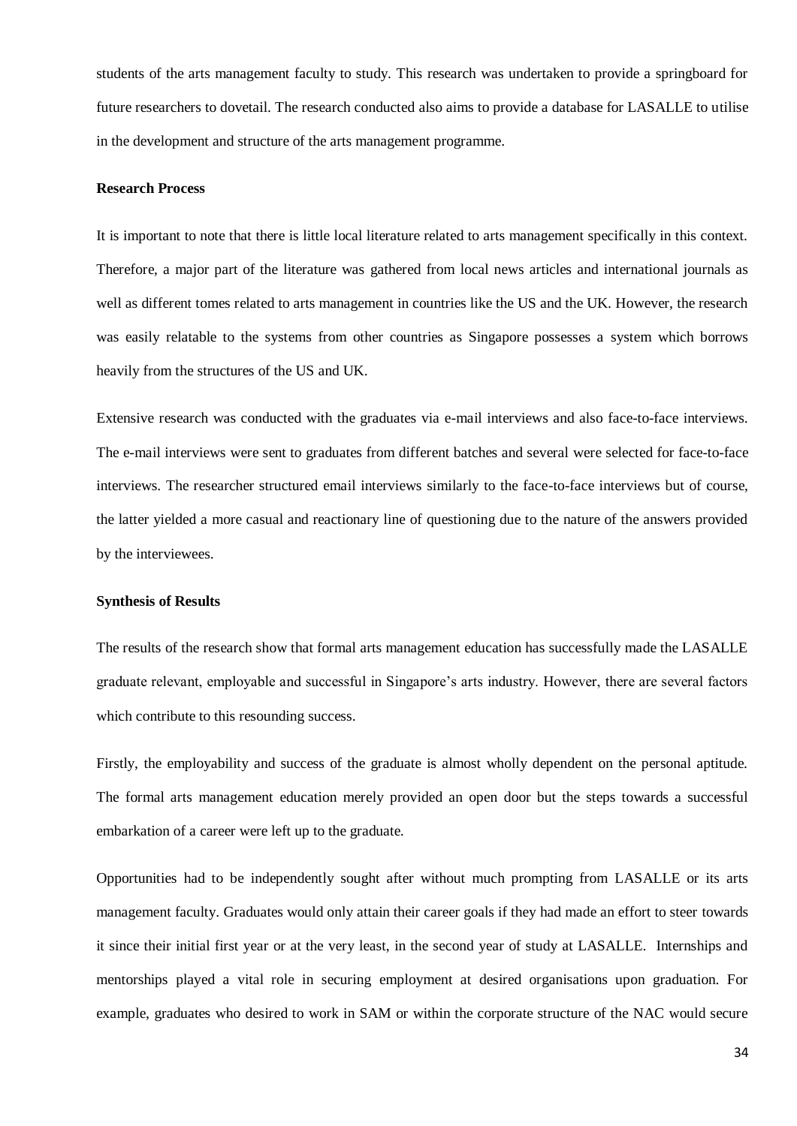students of the arts management faculty to study. This research was undertaken to provide a springboard for future researchers to dovetail. The research conducted also aims to provide a database for LASALLE to utilise in the development and structure of the arts management programme.

## <span id="page-38-0"></span>**Research Process**

It is important to note that there is little local literature related to arts management specifically in this context. Therefore, a major part of the literature was gathered from local news articles and international journals as well as different tomes related to arts management in countries like the US and the UK. However, the research was easily relatable to the systems from other countries as Singapore possesses a system which borrows heavily from the structures of the US and UK.

Extensive research was conducted with the graduates via e-mail interviews and also face-to-face interviews. The e-mail interviews were sent to graduates from different batches and several were selected for face-to-face interviews. The researcher structured email interviews similarly to the face-to-face interviews but of course, the latter yielded a more casual and reactionary line of questioning due to the nature of the answers provided by the interviewees.

#### <span id="page-38-1"></span>**Synthesis of Results**

The results of the research show that formal arts management education has successfully made the LASALLE graduate relevant, employable and successful in Singapore's arts industry. However, there are several factors which contribute to this resounding success.

Firstly, the employability and success of the graduate is almost wholly dependent on the personal aptitude. The formal arts management education merely provided an open door but the steps towards a successful embarkation of a career were left up to the graduate.

Opportunities had to be independently sought after without much prompting from LASALLE or its arts management faculty. Graduates would only attain their career goals if they had made an effort to steer towards it since their initial first year or at the very least, in the second year of study at LASALLE. Internships and mentorships played a vital role in securing employment at desired organisations upon graduation. For example, graduates who desired to work in SAM or within the corporate structure of the NAC would secure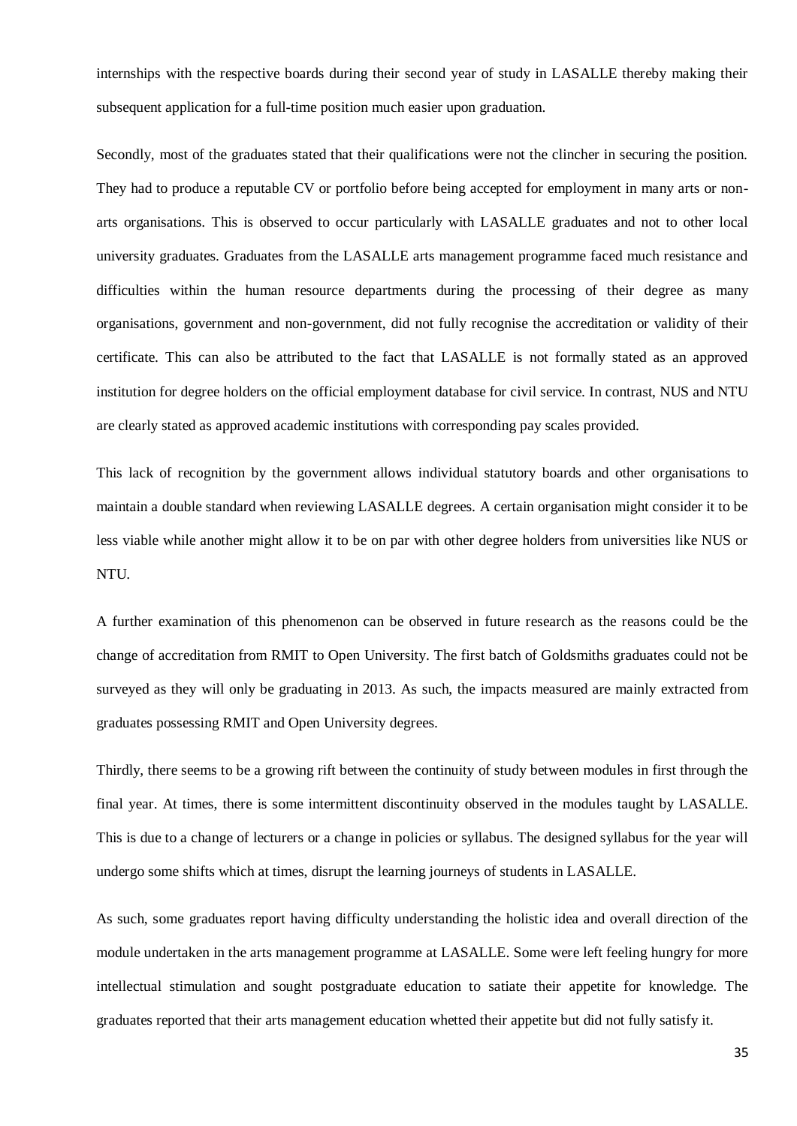internships with the respective boards during their second year of study in LASALLE thereby making their subsequent application for a full-time position much easier upon graduation.

Secondly, most of the graduates stated that their qualifications were not the clincher in securing the position. They had to produce a reputable CV or portfolio before being accepted for employment in many arts or nonarts organisations. This is observed to occur particularly with LASALLE graduates and not to other local university graduates. Graduates from the LASALLE arts management programme faced much resistance and difficulties within the human resource departments during the processing of their degree as many organisations, government and non-government, did not fully recognise the accreditation or validity of their certificate. This can also be attributed to the fact that LASALLE is not formally stated as an approved institution for degree holders on the official employment database for civil service. In contrast, NUS and NTU are clearly stated as approved academic institutions with corresponding pay scales provided.

This lack of recognition by the government allows individual statutory boards and other organisations to maintain a double standard when reviewing LASALLE degrees. A certain organisation might consider it to be less viable while another might allow it to be on par with other degree holders from universities like NUS or NTU.

A further examination of this phenomenon can be observed in future research as the reasons could be the change of accreditation from RMIT to Open University. The first batch of Goldsmiths graduates could not be surveyed as they will only be graduating in 2013. As such, the impacts measured are mainly extracted from graduates possessing RMIT and Open University degrees.

Thirdly, there seems to be a growing rift between the continuity of study between modules in first through the final year. At times, there is some intermittent discontinuity observed in the modules taught by LASALLE. This is due to a change of lecturers or a change in policies or syllabus. The designed syllabus for the year will undergo some shifts which at times, disrupt the learning journeys of students in LASALLE.

As such, some graduates report having difficulty understanding the holistic idea and overall direction of the module undertaken in the arts management programme at LASALLE. Some were left feeling hungry for more intellectual stimulation and sought postgraduate education to satiate their appetite for knowledge. The graduates reported that their arts management education whetted their appetite but did not fully satisfy it.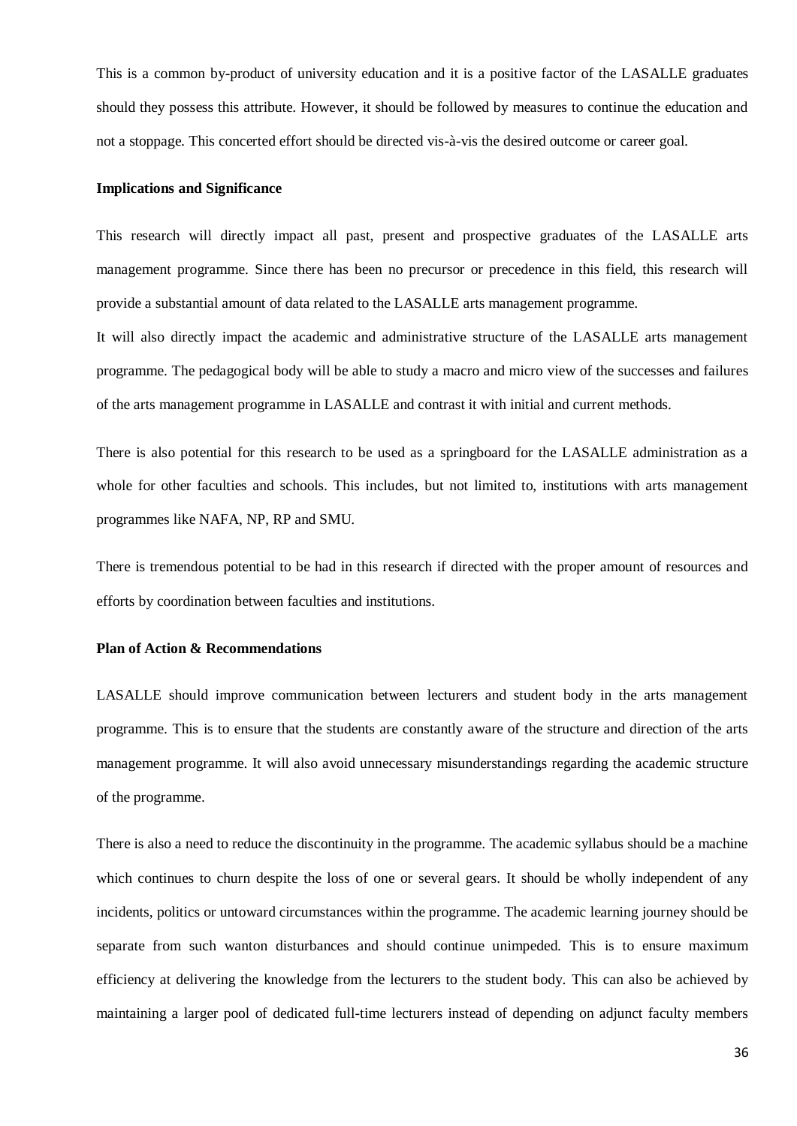This is a common by-product of university education and it is a positive factor of the LASALLE graduates should they possess this attribute. However, it should be followed by measures to continue the education and not a stoppage. This concerted effort should be directed vis-à-vis the desired outcome or career goal.

## <span id="page-40-0"></span>**Implications and Significance**

This research will directly impact all past, present and prospective graduates of the LASALLE arts management programme. Since there has been no precursor or precedence in this field, this research will provide a substantial amount of data related to the LASALLE arts management programme.

It will also directly impact the academic and administrative structure of the LASALLE arts management programme. The pedagogical body will be able to study a macro and micro view of the successes and failures of the arts management programme in LASALLE and contrast it with initial and current methods.

There is also potential for this research to be used as a springboard for the LASALLE administration as a whole for other faculties and schools. This includes, but not limited to, institutions with arts management programmes like NAFA, NP, RP and SMU.

There is tremendous potential to be had in this research if directed with the proper amount of resources and efforts by coordination between faculties and institutions.

#### <span id="page-40-1"></span>**Plan of Action & Recommendations**

LASALLE should improve communication between lecturers and student body in the arts management programme. This is to ensure that the students are constantly aware of the structure and direction of the arts management programme. It will also avoid unnecessary misunderstandings regarding the academic structure of the programme.

There is also a need to reduce the discontinuity in the programme. The academic syllabus should be a machine which continues to churn despite the loss of one or several gears. It should be wholly independent of any incidents, politics or untoward circumstances within the programme. The academic learning journey should be separate from such wanton disturbances and should continue unimpeded. This is to ensure maximum efficiency at delivering the knowledge from the lecturers to the student body. This can also be achieved by maintaining a larger pool of dedicated full-time lecturers instead of depending on adjunct faculty members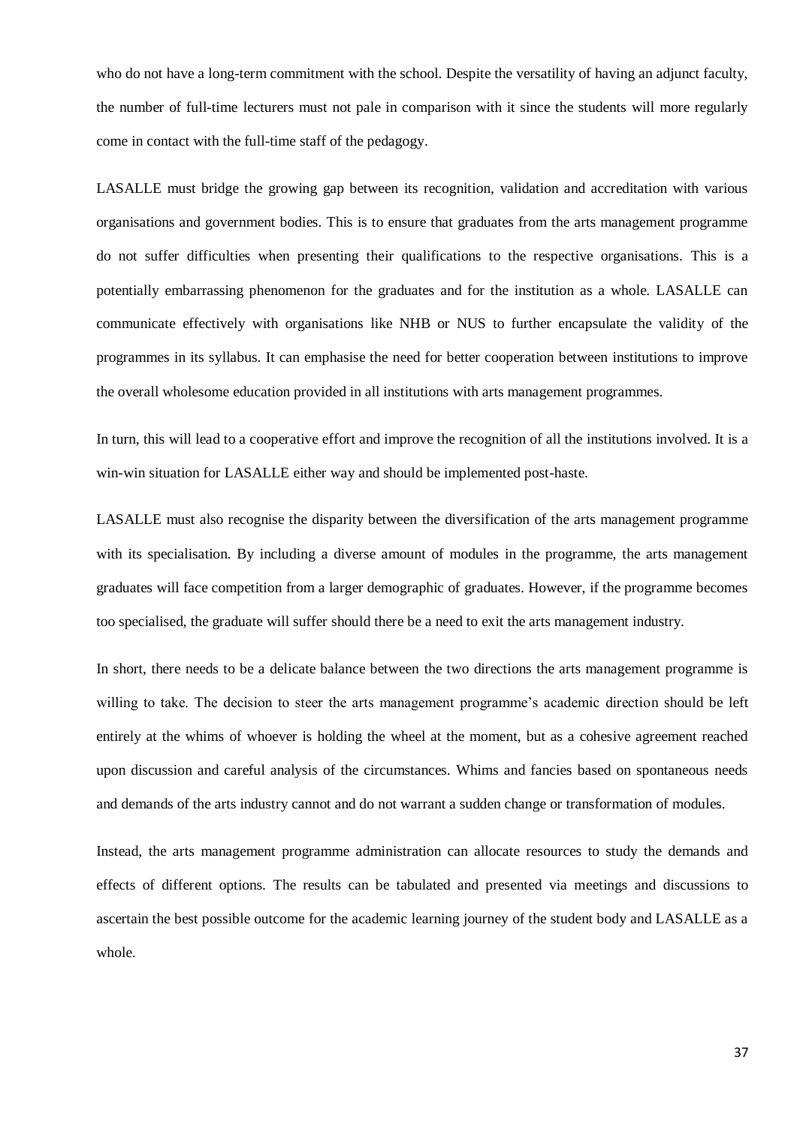who do not have a long-term commitment with the school. Despite the versatility of having an adjunct faculty, the number of full-time lecturers must not pale in comparison with it since the students will more regularly come in contact with the full-time staff of the pedagogy.

LASALLE must bridge the growing gap between its recognition, validation and accreditation with various organisations and government bodies. This is to ensure that graduates from the arts management programme do not suffer difficulties when presenting their qualifications to the respective organisations. This is a potentially embarrassing phenomenon for the graduates and for the institution as a whole. LASALLE can communicate effectively with organisations like NHB or NUS to further encapsulate the validity of the programmes in its syllabus. It can emphasise the need for better cooperation between institutions to improve the overall wholesome education provided in all institutions with arts management programmes.

In turn, this will lead to a cooperative effort and improve the recognition of all the institutions involved. It is a win-win situation for LASALLE either way and should be implemented post-haste.

LASALLE must also recognise the disparity between the diversification of the arts management programme with its specialisation. By including a diverse amount of modules in the programme, the arts management graduates will face competition from a larger demographic of graduates. However, if the programme becomes too specialised, the graduate will suffer should there be a need to exit the arts management industry.

In short, there needs to be a delicate balance between the two directions the arts management programme is willing to take. The decision to steer the arts management programme's academic direction should be left entirely at the whims of whoever is holding the wheel at the moment, but as a cohesive agreement reached upon discussion and careful analysis of the circumstances. Whims and fancies based on spontaneous needs and demands of the arts industry cannot and do not warrant a sudden change or transformation of modules.

Instead, the arts management programme administration can allocate resources to study the demands and effects of different options. The results can be tabulated and presented via meetings and discussions to ascertain the best possible outcome for the academic learning journey of the student body and LASALLE as a whole.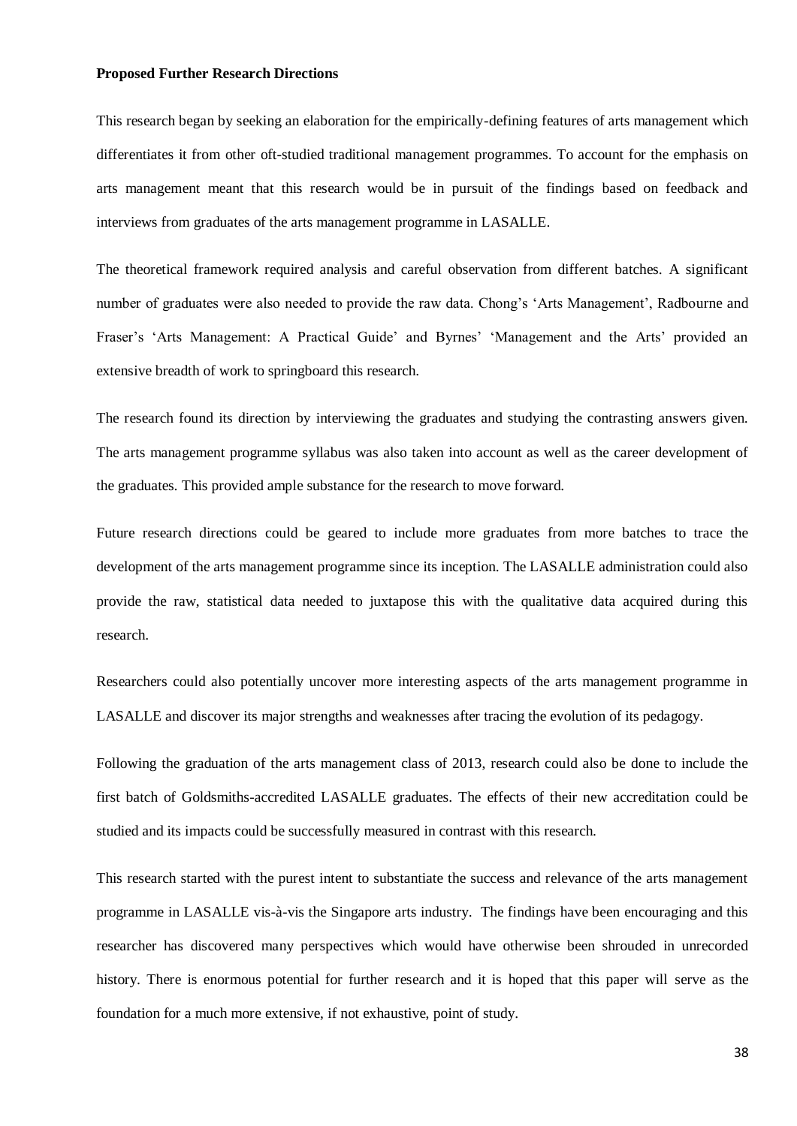#### <span id="page-42-0"></span>**Proposed Further Research Directions**

This research began by seeking an elaboration for the empirically-defining features of arts management which differentiates it from other oft-studied traditional management programmes. To account for the emphasis on arts management meant that this research would be in pursuit of the findings based on feedback and interviews from graduates of the arts management programme in LASALLE.

The theoretical framework required analysis and careful observation from different batches. A significant number of graduates were also needed to provide the raw data. Chong's 'Arts Management', Radbourne and Fraser's 'Arts Management: A Practical Guide' and Byrnes' 'Management and the Arts' provided an extensive breadth of work to springboard this research.

The research found its direction by interviewing the graduates and studying the contrasting answers given. The arts management programme syllabus was also taken into account as well as the career development of the graduates. This provided ample substance for the research to move forward.

Future research directions could be geared to include more graduates from more batches to trace the development of the arts management programme since its inception. The LASALLE administration could also provide the raw, statistical data needed to juxtapose this with the qualitative data acquired during this research.

Researchers could also potentially uncover more interesting aspects of the arts management programme in LASALLE and discover its major strengths and weaknesses after tracing the evolution of its pedagogy.

Following the graduation of the arts management class of 2013, research could also be done to include the first batch of Goldsmiths-accredited LASALLE graduates. The effects of their new accreditation could be studied and its impacts could be successfully measured in contrast with this research.

This research started with the purest intent to substantiate the success and relevance of the arts management programme in LASALLE vis-à-vis the Singapore arts industry. The findings have been encouraging and this researcher has discovered many perspectives which would have otherwise been shrouded in unrecorded history. There is enormous potential for further research and it is hoped that this paper will serve as the foundation for a much more extensive, if not exhaustive, point of study.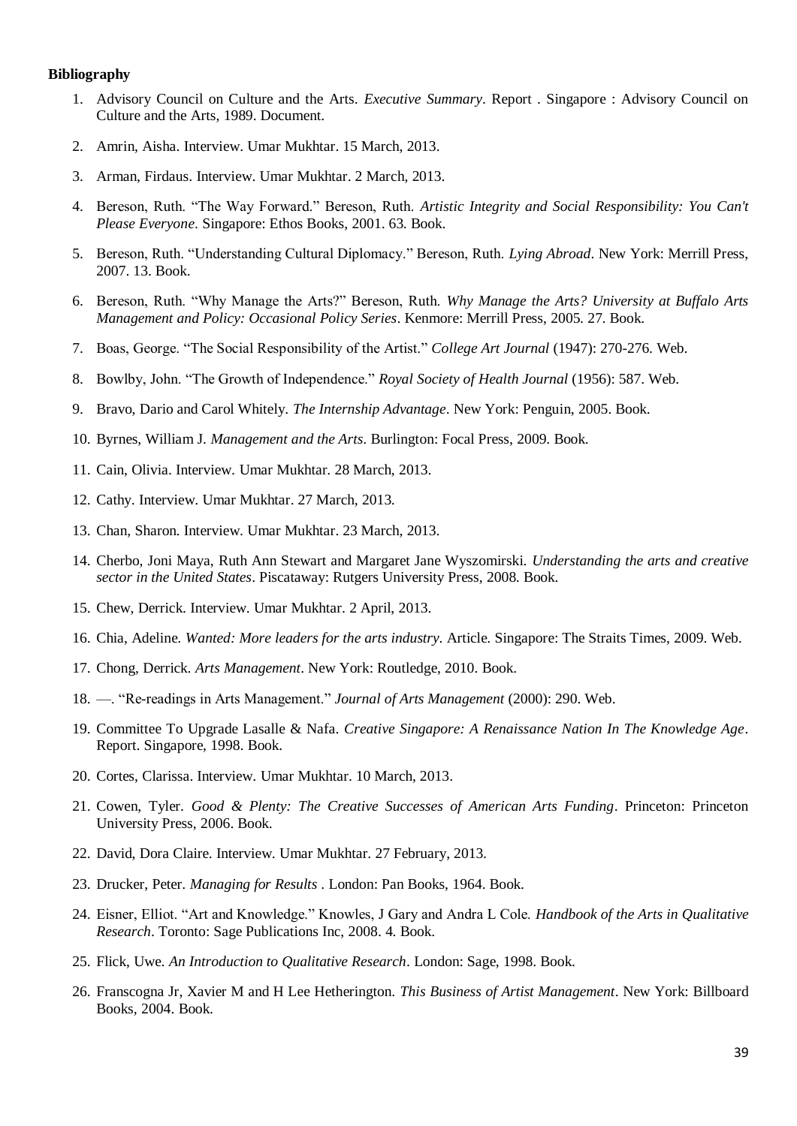#### <span id="page-43-0"></span>**Bibliography**

- 1. Advisory Council on Culture and the Arts. *Executive Summary*. Report . Singapore : Advisory Council on Culture and the Arts, 1989. Document.
- 2. Amrin, Aisha. Interview. Umar Mukhtar. 15 March, 2013.
- 3. Arman, Firdaus. Interview. Umar Mukhtar. 2 March, 2013.
- 4. Bereson, Ruth. "The Way Forward." Bereson, Ruth. *Artistic Integrity and Social Responsibility: You Can't Please Everyone*. Singapore: Ethos Books, 2001. 63. Book.
- 5. Bereson, Ruth. "Understanding Cultural Diplomacy." Bereson, Ruth. *Lying Abroad*. New York: Merrill Press, 2007. 13. Book.
- 6. Bereson, Ruth. "Why Manage the Arts?" Bereson, Ruth. *Why Manage the Arts? University at Buffalo Arts Management and Policy: Occasional Policy Series*. Kenmore: Merrill Press, 2005. 27. Book.
- 7. Boas, George. "The Social Responsibility of the Artist." *College Art Journal* (1947): 270-276. Web.
- 8. Bowlby, John. "The Growth of Independence." *Royal Society of Health Journal* (1956): 587. Web.
- 9. Bravo, Dario and Carol Whitely. *The Internship Advantage*. New York: Penguin, 2005. Book.
- 10. Byrnes, William J. *Management and the Arts*. Burlington: Focal Press, 2009. Book.
- 11. Cain, Olivia. Interview. Umar Mukhtar. 28 March, 2013.
- 12. Cathy. Interview. Umar Mukhtar. 27 March, 2013.
- 13. Chan, Sharon. Interview. Umar Mukhtar. 23 March, 2013.
- 14. Cherbo, Joni Maya, Ruth Ann Stewart and Margaret Jane Wyszomirski. *Understanding the arts and creative sector in the United States*. Piscataway: Rutgers University Press, 2008. Book.
- 15. Chew, Derrick. Interview. Umar Mukhtar. 2 April, 2013.
- 16. Chia, Adeline. *Wanted: More leaders for the arts industry*. Article. Singapore: The Straits Times, 2009. Web.
- 17. Chong, Derrick. *Arts Management*. New York: Routledge, 2010. Book.
- 18. —. "Re-readings in Arts Management." *Journal of Arts Management* (2000): 290. Web.
- 19. Committee To Upgrade Lasalle & Nafa. *Creative Singapore: A Renaissance Nation In The Knowledge Age*. Report. Singapore, 1998. Book.
- 20. Cortes, Clarissa. Interview. Umar Mukhtar. 10 March, 2013.
- 21. Cowen, Tyler. *Good & Plenty: The Creative Successes of American Arts Funding*. Princeton: Princeton University Press, 2006. Book.
- 22. David, Dora Claire. Interview. Umar Mukhtar. 27 February, 2013.
- 23. Drucker, Peter. *Managing for Results* . London: Pan Books, 1964. Book.
- 24. Eisner, Elliot. "Art and Knowledge." Knowles, J Gary and Andra L Cole. *Handbook of the Arts in Qualitative Research*. Toronto: Sage Publications Inc, 2008. 4. Book.
- 25. Flick, Uwe. *An Introduction to Qualitative Research*. London: Sage, 1998. Book.
- 26. Franscogna Jr, Xavier M and H Lee Hetherington. *This Business of Artist Management*. New York: Billboard Books, 2004. Book.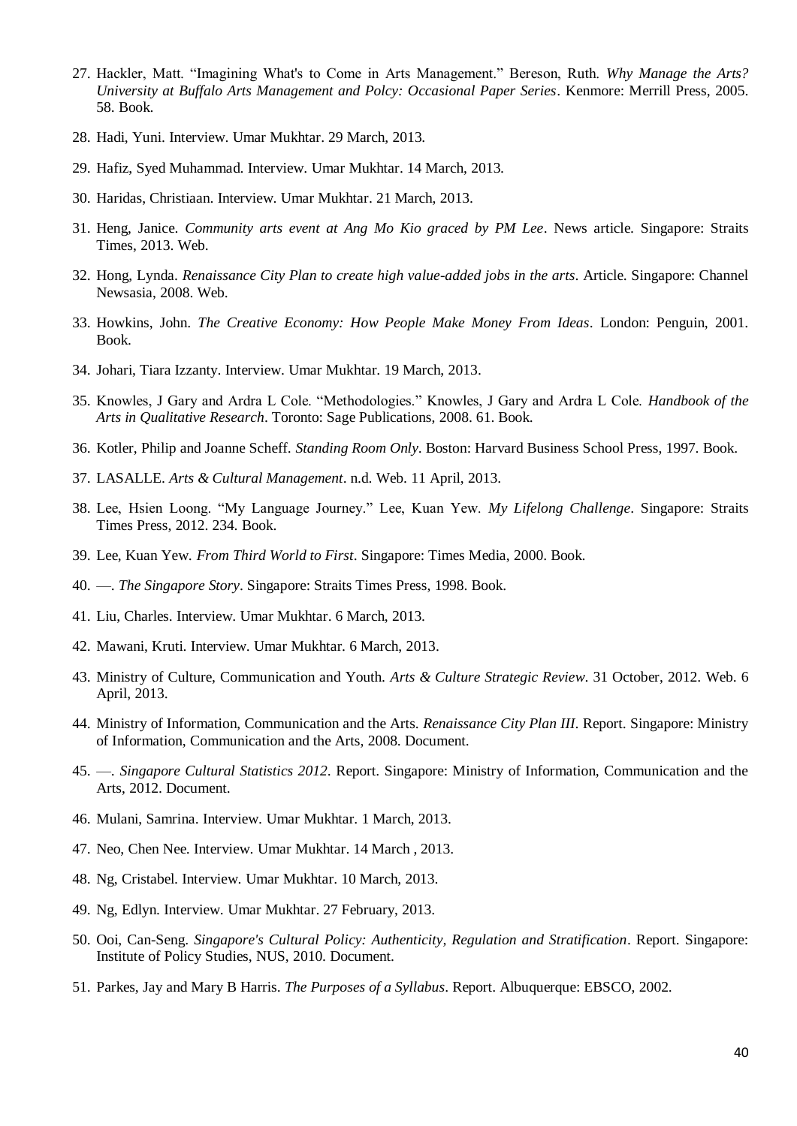- 27. Hackler, Matt. "Imagining What's to Come in Arts Management." Bereson, Ruth. *Why Manage the Arts? University at Buffalo Arts Management and Polcy: Occasional Paper Series*. Kenmore: Merrill Press, 2005. 58. Book.
- 28. Hadi, Yuni. Interview. Umar Mukhtar. 29 March, 2013.
- 29. Hafiz, Syed Muhammad. Interview. Umar Mukhtar. 14 March, 2013.
- 30. Haridas, Christiaan. Interview. Umar Mukhtar. 21 March, 2013.
- 31. Heng, Janice. *Community arts event at Ang Mo Kio graced by PM Lee*. News article. Singapore: Straits Times, 2013. Web.
- 32. Hong, Lynda. *Renaissance City Plan to create high value-added jobs in the arts*. Article. Singapore: Channel Newsasia, 2008. Web.
- 33. Howkins, John. *The Creative Economy: How People Make Money From Ideas*. London: Penguin, 2001. Book.
- 34. Johari, Tiara Izzanty. Interview. Umar Mukhtar. 19 March, 2013.
- 35. Knowles, J Gary and Ardra L Cole. "Methodologies." Knowles, J Gary and Ardra L Cole. *Handbook of the Arts in Qualitative Research*. Toronto: Sage Publications, 2008. 61. Book.
- 36. Kotler, Philip and Joanne Scheff. *Standing Room Only*. Boston: Harvard Business School Press, 1997. Book.
- 37. LASALLE. *Arts & Cultural Management*. n.d. Web. 11 April, 2013.
- 38. Lee, Hsien Loong. "My Language Journey." Lee, Kuan Yew. *My Lifelong Challenge*. Singapore: Straits Times Press, 2012. 234. Book.
- 39. Lee, Kuan Yew. *From Third World to First*. Singapore: Times Media, 2000. Book.
- 40. —. *The Singapore Story*. Singapore: Straits Times Press, 1998. Book.
- 41. Liu, Charles. Interview. Umar Mukhtar. 6 March, 2013.
- 42. Mawani, Kruti. Interview. Umar Mukhtar. 6 March, 2013.
- 43. Ministry of Culture, Communication and Youth. *Arts & Culture Strategic Review*. 31 October, 2012. Web. 6 April, 2013.
- 44. Ministry of Information, Communication and the Arts. *Renaissance City Plan III*. Report. Singapore: Ministry of Information, Communication and the Arts, 2008. Document.
- 45. —. *Singapore Cultural Statistics 2012*. Report. Singapore: Ministry of Information, Communication and the Arts, 2012. Document.
- 46. Mulani, Samrina. Interview. Umar Mukhtar. 1 March, 2013.
- 47. Neo, Chen Nee. Interview. Umar Mukhtar. 14 March , 2013.
- 48. Ng, Cristabel. Interview. Umar Mukhtar. 10 March, 2013.
- 49. Ng, Edlyn. Interview. Umar Mukhtar. 27 February, 2013.
- 50. Ooi, Can-Seng. *Singapore's Cultural Policy: Authenticity, Regulation and Stratification*. Report. Singapore: Institute of Policy Studies, NUS, 2010. Document.
- 51. Parkes, Jay and Mary B Harris. *The Purposes of a Syllabus*. Report. Albuquerque: EBSCO, 2002.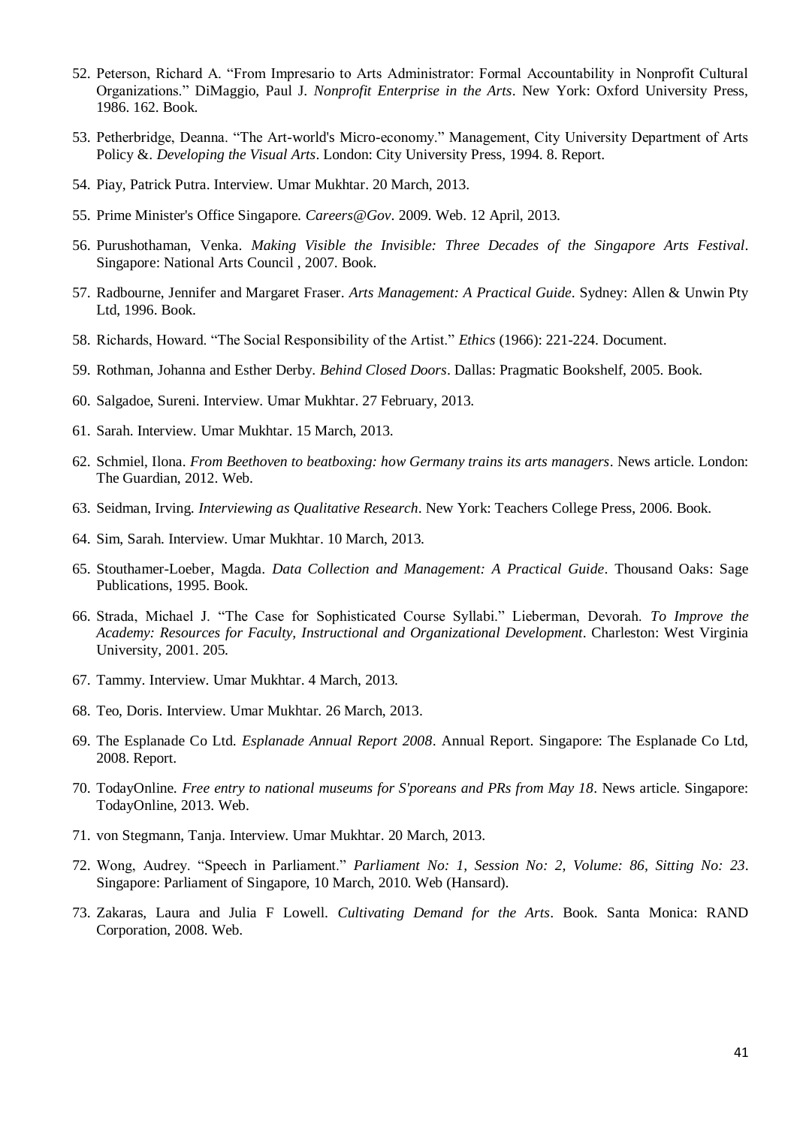- 52. Peterson, Richard A. "From Impresario to Arts Administrator: Formal Accountability in Nonprofit Cultural Organizations." DiMaggio, Paul J. *Nonprofit Enterprise in the Arts*. New York: Oxford University Press, 1986. 162. Book.
- 53. Petherbridge, Deanna. "The Art-world's Micro-economy." Management, City University Department of Arts Policy &. *Developing the Visual Arts*. London: City University Press, 1994. 8. Report.
- 54. Piay, Patrick Putra. Interview. Umar Mukhtar. 20 March, 2013.
- 55. Prime Minister's Office Singapore. *Careers@Gov*. 2009. Web. 12 April, 2013.
- 56. Purushothaman, Venka. *Making Visible the Invisible: Three Decades of the Singapore Arts Festival*. Singapore: National Arts Council , 2007. Book.
- 57. Radbourne, Jennifer and Margaret Fraser. *Arts Management: A Practical Guide*. Sydney: Allen & Unwin Pty Ltd, 1996. Book.
- 58. Richards, Howard. "The Social Responsibility of the Artist." *Ethics* (1966): 221-224. Document.
- 59. Rothman, Johanna and Esther Derby. *Behind Closed Doors*. Dallas: Pragmatic Bookshelf, 2005. Book.
- 60. Salgadoe, Sureni. Interview. Umar Mukhtar. 27 February, 2013.
- 61. Sarah. Interview. Umar Mukhtar. 15 March, 2013.
- 62. Schmiel, Ilona. *From Beethoven to beatboxing: how Germany trains its arts managers*. News article. London: The Guardian, 2012. Web.
- 63. Seidman, Irving. *Interviewing as Qualitative Research*. New York: Teachers College Press, 2006. Book.
- 64. Sim, Sarah. Interview. Umar Mukhtar. 10 March, 2013.
- 65. Stouthamer-Loeber, Magda. *Data Collection and Management: A Practical Guide*. Thousand Oaks: Sage Publications, 1995. Book.
- 66. Strada, Michael J. "The Case for Sophisticated Course Syllabi." Lieberman, Devorah. *To Improve the Academy: Resources for Faculty, Instructional and Organizational Development*. Charleston: West Virginia University, 2001. 205.
- 67. Tammy. Interview. Umar Mukhtar. 4 March, 2013.
- 68. Teo, Doris. Interview. Umar Mukhtar. 26 March, 2013.
- 69. The Esplanade Co Ltd. *Esplanade Annual Report 2008*. Annual Report. Singapore: The Esplanade Co Ltd, 2008. Report.
- 70. TodayOnline. *Free entry to national museums for S'poreans and PRs from May 18*. News article. Singapore: TodayOnline, 2013. Web.
- 71. von Stegmann, Tanja. Interview. Umar Mukhtar. 20 March, 2013.
- 72. Wong, Audrey. "Speech in Parliament." *Parliament No: 1, Session No: 2, Volume: 86, Sitting No: 23*. Singapore: Parliament of Singapore, 10 March, 2010. Web (Hansard).
- 73. Zakaras, Laura and Julia F Lowell. *Cultivating Demand for the Arts*. Book. Santa Monica: RAND Corporation, 2008. Web.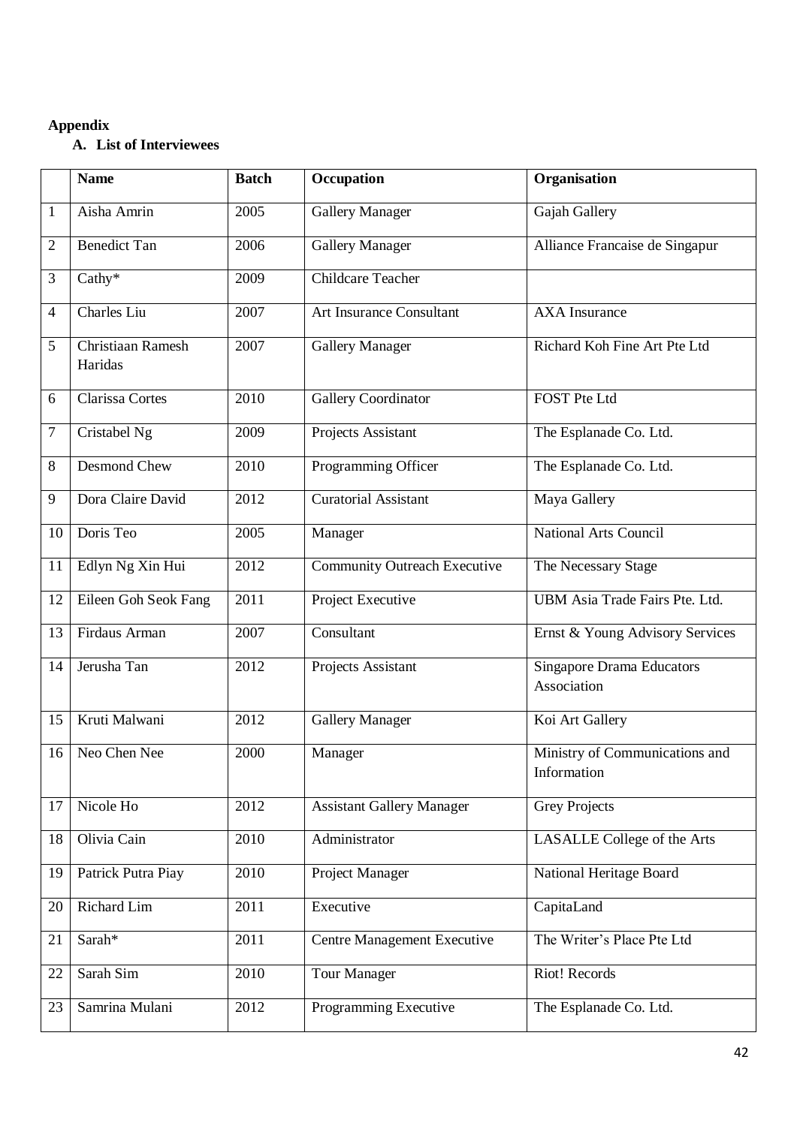# <span id="page-46-0"></span>**Appendix**

# **A. List of Interviewees**

|                | <b>Name</b>                  | <b>Batch</b> | Occupation                          | Organisation                                    |
|----------------|------------------------------|--------------|-------------------------------------|-------------------------------------------------|
| $\mathbf{1}$   | Aisha Amrin                  | 2005         | <b>Gallery Manager</b>              | Gajah Gallery                                   |
| 2              | <b>Benedict Tan</b>          | 2006         | <b>Gallery Manager</b>              | Alliance Francaise de Singapur                  |
| 3              | $Cathy*$                     | 2009         | <b>Childcare Teacher</b>            |                                                 |
| $\overline{4}$ | Charles Liu                  | 2007         | <b>Art Insurance Consultant</b>     | <b>AXA</b> Insurance                            |
| 5              | Christiaan Ramesh<br>Haridas | 2007         | <b>Gallery Manager</b>              | Richard Koh Fine Art Pte Ltd                    |
| 6              | Clarissa Cortes              | 2010         | Gallery Coordinator                 | <b>FOST Pte Ltd</b>                             |
| 7              | Cristabel Ng                 | 2009         | Projects Assistant                  | The Esplanade Co. Ltd.                          |
| $8\,$          | Desmond Chew                 | 2010         | Programming Officer                 | The Esplanade Co. Ltd.                          |
| 9              | Dora Claire David            | 2012         | <b>Curatorial Assistant</b>         | Maya Gallery                                    |
| 10             | Doris Teo                    | 2005         | Manager                             | <b>National Arts Council</b>                    |
| 11             | Edlyn Ng Xin Hui             | 2012         | <b>Community Outreach Executive</b> | The Necessary Stage                             |
| 12             | Eileen Goh Seok Fang         | 2011         | Project Executive                   | UBM Asia Trade Fairs Pte. Ltd.                  |
| 13             | Firdaus Arman                | 2007         | Consultant                          | Ernst & Young Advisory Services                 |
| 14             | Jerusha Tan                  | 2012         | Projects Assistant                  | <b>Singapore Drama Educators</b><br>Association |
| 15             | Kruti Malwani                | 2012         | <b>Gallery Manager</b>              | Koi Art Gallery                                 |
| 16             | Neo Chen Nee                 | 2000         | Manager                             | Ministry of Communications and<br>Information   |
| 17             | Nicole Ho                    | 2012         | <b>Assistant Gallery Manager</b>    | <b>Grey Projects</b>                            |
| 18             | Olivia Cain                  | 2010         | Administrator                       | LASALLE College of the Arts                     |
| 19             | Patrick Putra Piay           | 2010         | Project Manager                     | National Heritage Board                         |
| 20             | Richard Lim                  | 2011         | Executive                           | CapitaLand                                      |
| 21             | Sarah*                       | 2011         | Centre Management Executive         | The Writer's Place Pte Ltd                      |
| 22             | Sarah Sim                    | 2010         | <b>Tour Manager</b>                 | Riot! Records                                   |
| 23             | Samrina Mulani               | 2012         | Programming Executive               | The Esplanade Co. Ltd.                          |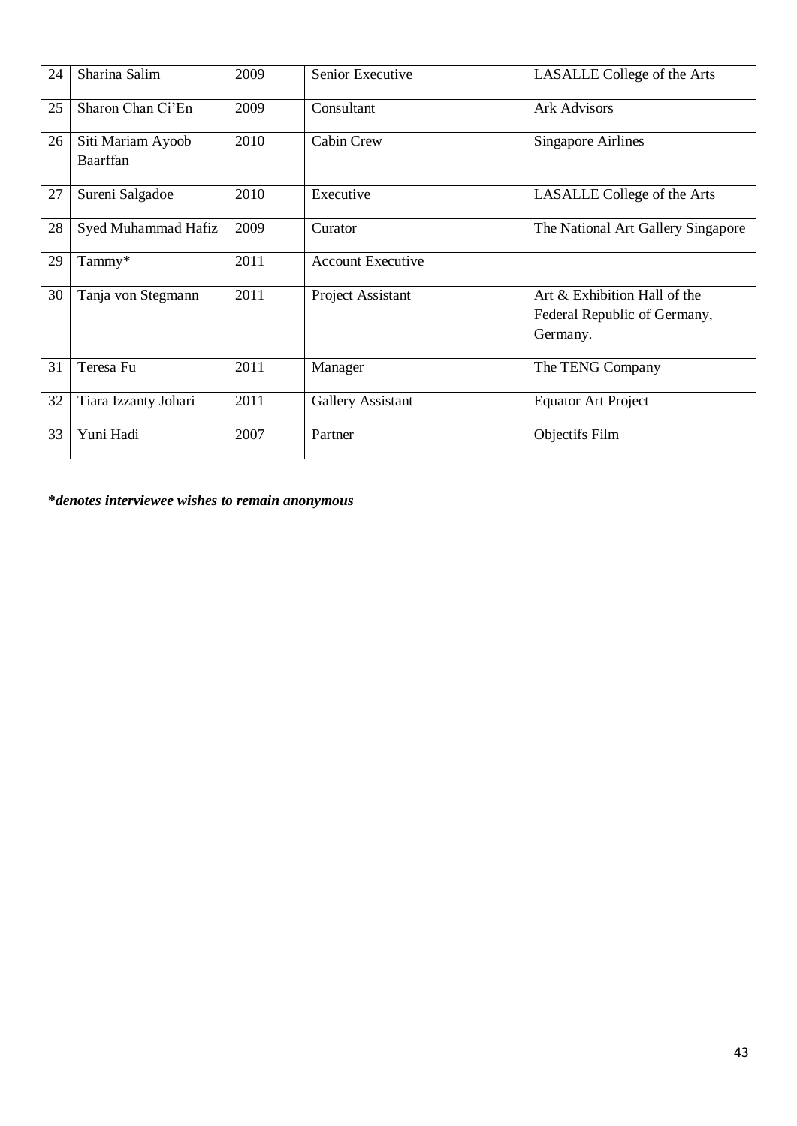| 24 | Sharina Salim                 | 2009 | Senior Executive         | LASALLE College of the Arts                                              |
|----|-------------------------------|------|--------------------------|--------------------------------------------------------------------------|
| 25 | Sharon Chan Ci'En             | 2009 | Consultant               | <b>Ark Advisors</b>                                                      |
| 26 | Siti Mariam Ayoob<br>Baarffan | 2010 | Cabin Crew               | <b>Singapore Airlines</b>                                                |
| 27 | Sureni Salgadoe               | 2010 | Executive                | LASALLE College of the Arts                                              |
| 28 | Syed Muhammad Hafiz           | 2009 | Curator                  | The National Art Gallery Singapore                                       |
| 29 | Tammy*                        | 2011 | <b>Account Executive</b> |                                                                          |
| 30 | Tanja von Stegmann            | 2011 | Project Assistant        | Art & Exhibition Hall of the<br>Federal Republic of Germany,<br>Germany. |
| 31 | Teresa Fu                     | 2011 | Manager                  | The TENG Company                                                         |
| 32 | Tiara Izzanty Johari          | 2011 | Gallery Assistant        | <b>Equator Art Project</b>                                               |
| 33 | Yuni Hadi                     | 2007 | Partner                  | Objectifs Film                                                           |

**\****denotes interviewee wishes to remain anonymous*